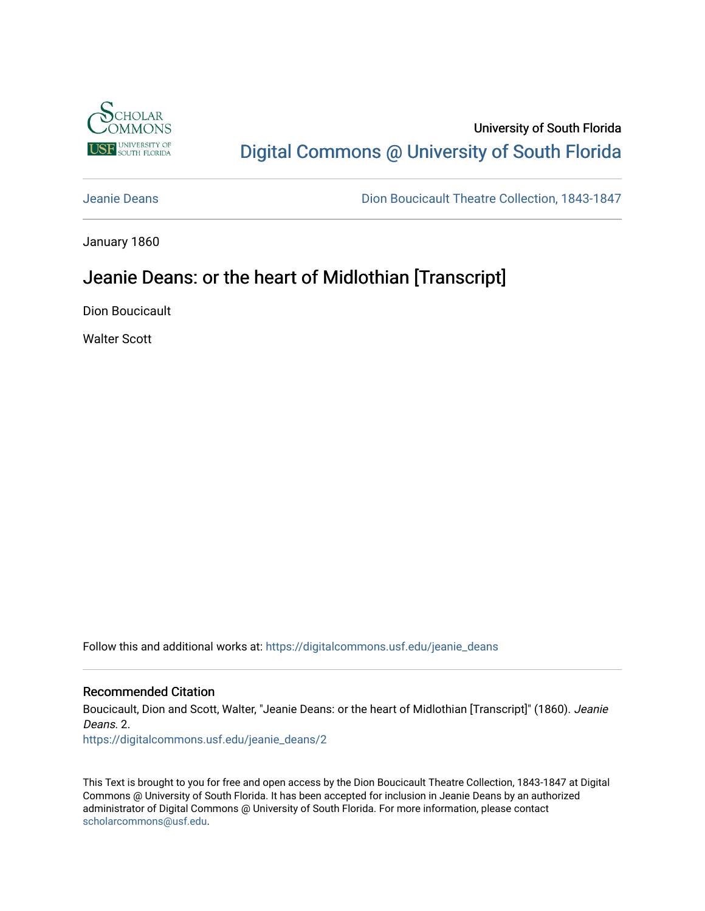

# University of South Florida [Digital Commons @ University of South Florida](https://digitalcommons.usf.edu/)

[Jeanie Deans](https://digitalcommons.usf.edu/jeanie_deans) [Dion Boucicault Theatre Collection, 1843-1847](https://digitalcommons.usf.edu/boucicault) 

January 1860

# Jeanie Deans: or the heart of Midlothian [Transcript]

Dion Boucicault

Walter Scott

Follow this and additional works at: [https://digitalcommons.usf.edu/jeanie\\_deans](https://digitalcommons.usf.edu/jeanie_deans?utm_source=digitalcommons.usf.edu%2Fjeanie_deans%2F2&utm_medium=PDF&utm_campaign=PDFCoverPages)

#### Recommended Citation

Boucicault, Dion and Scott, Walter, "Jeanie Deans: or the heart of Midlothian [Transcript]" (1860). Jeanie Deans. 2.

[https://digitalcommons.usf.edu/jeanie\\_deans/2](https://digitalcommons.usf.edu/jeanie_deans/2?utm_source=digitalcommons.usf.edu%2Fjeanie_deans%2F2&utm_medium=PDF&utm_campaign=PDFCoverPages) 

This Text is brought to you for free and open access by the Dion Boucicault Theatre Collection, 1843-1847 at Digital Commons @ University of South Florida. It has been accepted for inclusion in Jeanie Deans by an authorized administrator of Digital Commons @ University of South Florida. For more information, please contact [scholarcommons@usf.edu.](mailto:scholarcommons@usf.edu)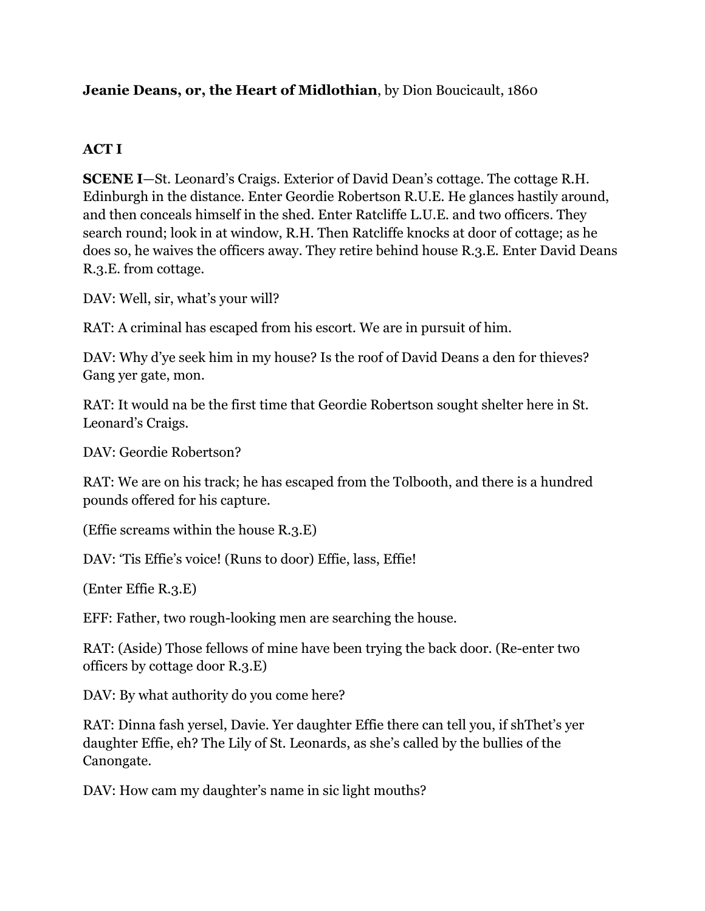## **Jeanie Deans, or, the Heart of Midlothian**, by Dion Boucicault, 1860

## **ACT I**

**SCENE I**—St. Leonard's Craigs. Exterior of David Dean's cottage. The cottage R.H. Edinburgh in the distance. Enter Geordie Robertson R.U.E. He glances hastily around, and then conceals himself in the shed. Enter Ratcliffe L.U.E. and two officers. They search round; look in at window, R.H. Then Ratcliffe knocks at door of cottage; as he does so, he waives the officers away. They retire behind house R.3.E. Enter David Deans R.3.E. from cottage.

DAV: Well, sir, what's your will?

RAT: A criminal has escaped from his escort. We are in pursuit of him.

DAV: Why d'ye seek him in my house? Is the roof of David Deans a den for thieves? Gang yer gate, mon.

RAT: It would na be the first time that Geordie Robertson sought shelter here in St. Leonard's Craigs.

DAV: Geordie Robertson?

RAT: We are on his track; he has escaped from the Tolbooth, and there is a hundred pounds offered for his capture.

(Effie screams within the house R.3.E)

DAV: 'Tis Effie's voice! (Runs to door) Effie, lass, Effie!

(Enter Effie R.3.E)

EFF: Father, two rough-looking men are searching the house.

RAT: (Aside) Those fellows of mine have been trying the back door. (Re-enter two officers by cottage door R.3.E)

DAV: By what authority do you come here?

RAT: Dinna fash yersel, Davie. Yer daughter Effie there can tell you, if shThet's yer daughter Effie, eh? The Lily of St. Leonards, as she's called by the bullies of the Canongate.

DAV: How cam my daughter's name in sic light mouths?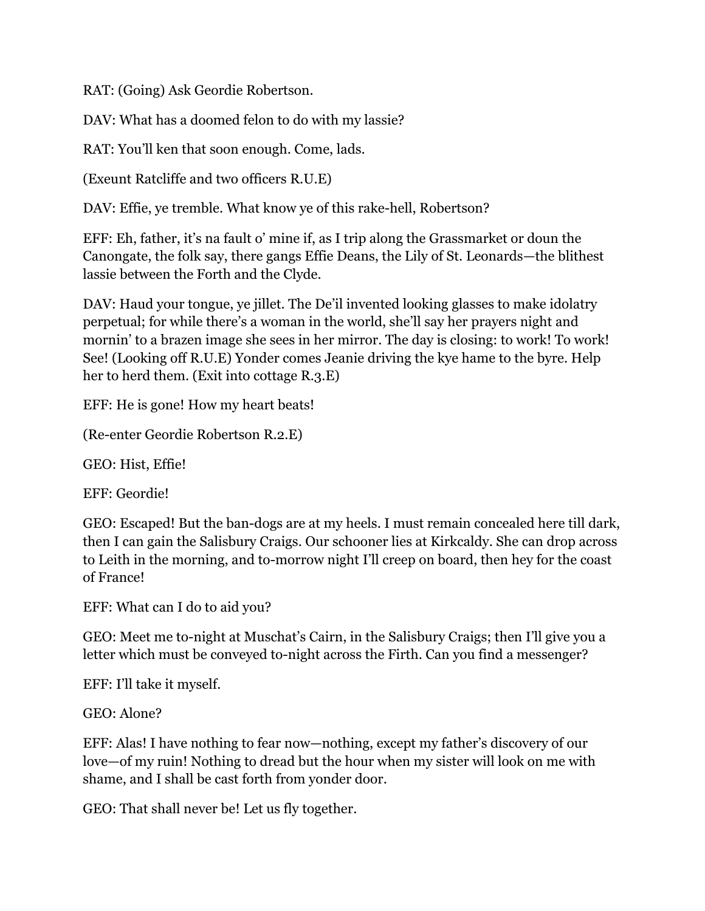RAT: (Going) Ask Geordie Robertson.

DAV: What has a doomed felon to do with my lassie?

RAT: You'll ken that soon enough. Come, lads.

(Exeunt Ratcliffe and two officers R.U.E)

DAV: Effie, ye tremble. What know ye of this rake-hell, Robertson?

EFF: Eh, father, it's na fault o' mine if, as I trip along the Grassmarket or doun the Canongate, the folk say, there gangs Effie Deans, the Lily of St. Leonards—the blithest lassie between the Forth and the Clyde.

DAV: Haud your tongue, ye jillet. The De'il invented looking glasses to make idolatry perpetual; for while there's a woman in the world, she'll say her prayers night and mornin' to a brazen image she sees in her mirror. The day is closing: to work! To work! See! (Looking off R.U.E) Yonder comes Jeanie driving the kye hame to the byre. Help her to herd them. (Exit into cottage R.3.E)

EFF: He is gone! How my heart beats!

(Re-enter Geordie Robertson R.2.E)

GEO: Hist, Effie!

EFF: Geordie!

GEO: Escaped! But the ban-dogs are at my heels. I must remain concealed here till dark, then I can gain the Salisbury Craigs. Our schooner lies at Kirkcaldy. She can drop across to Leith in the morning, and to-morrow night I'll creep on board, then hey for the coast of France!

EFF: What can I do to aid you?

GEO: Meet me to-night at Muschat's Cairn, in the Salisbury Craigs; then I'll give you a letter which must be conveyed to-night across the Firth. Can you find a messenger?

EFF: I'll take it myself.

GEO: Alone?

EFF: Alas! I have nothing to fear now—nothing, except my father's discovery of our love—of my ruin! Nothing to dread but the hour when my sister will look on me with shame, and I shall be cast forth from yonder door.

GEO: That shall never be! Let us fly together.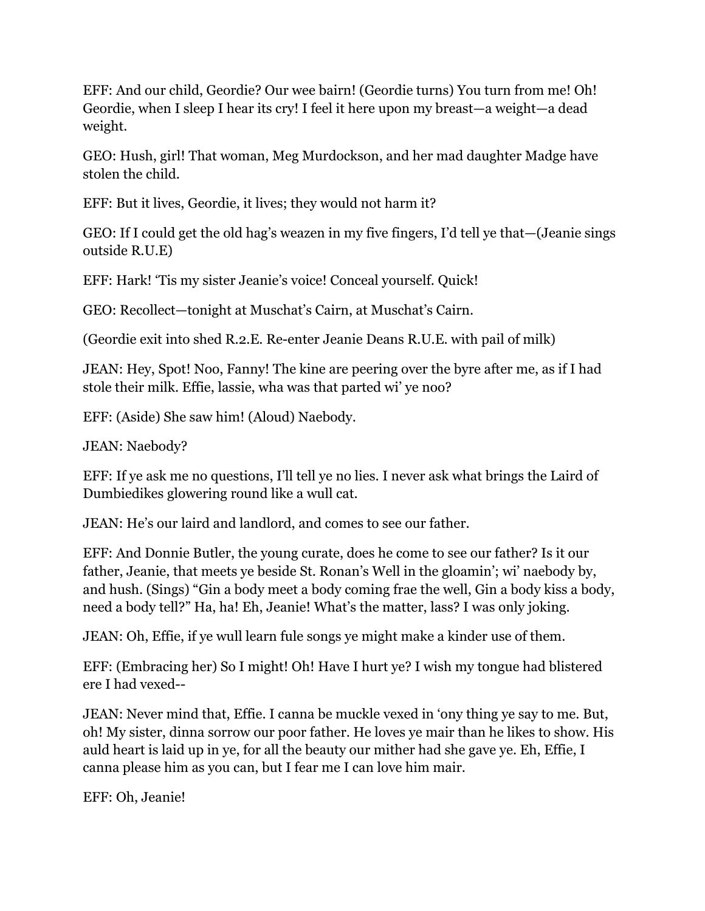EFF: And our child, Geordie? Our wee bairn! (Geordie turns) You turn from me! Oh! Geordie, when I sleep I hear its cry! I feel it here upon my breast—a weight—a dead weight.

GEO: Hush, girl! That woman, Meg Murdockson, and her mad daughter Madge have stolen the child.

EFF: But it lives, Geordie, it lives; they would not harm it?

GEO: If I could get the old hag's weazen in my five fingers, I'd tell ye that—(Jeanie sings outside R.U.E)

EFF: Hark! 'Tis my sister Jeanie's voice! Conceal yourself. Quick!

GEO: Recollect—tonight at Muschat's Cairn, at Muschat's Cairn.

(Geordie exit into shed R.2.E. Re-enter Jeanie Deans R.U.E. with pail of milk)

JEAN: Hey, Spot! Noo, Fanny! The kine are peering over the byre after me, as if I had stole their milk. Effie, lassie, wha was that parted wi' ye noo?

EFF: (Aside) She saw him! (Aloud) Naebody.

JEAN: Naebody?

EFF: If ye ask me no questions, I'll tell ye no lies. I never ask what brings the Laird of Dumbiedikes glowering round like a wull cat.

JEAN: He's our laird and landlord, and comes to see our father.

EFF: And Donnie Butler, the young curate, does he come to see our father? Is it our father, Jeanie, that meets ye beside St. Ronan's Well in the gloamin'; wi' naebody by, and hush. (Sings) "Gin a body meet a body coming frae the well, Gin a body kiss a body, need a body tell?" Ha, ha! Eh, Jeanie! What's the matter, lass? I was only joking.

JEAN: Oh, Effie, if ye wull learn fule songs ye might make a kinder use of them.

EFF: (Embracing her) So I might! Oh! Have I hurt ye? I wish my tongue had blistered ere I had vexed--

JEAN: Never mind that, Effie. I canna be muckle vexed in 'ony thing ye say to me. But, oh! My sister, dinna sorrow our poor father. He loves ye mair than he likes to show. His auld heart is laid up in ye, for all the beauty our mither had she gave ye. Eh, Effie, I canna please him as you can, but I fear me I can love him mair.

EFF: Oh, Jeanie!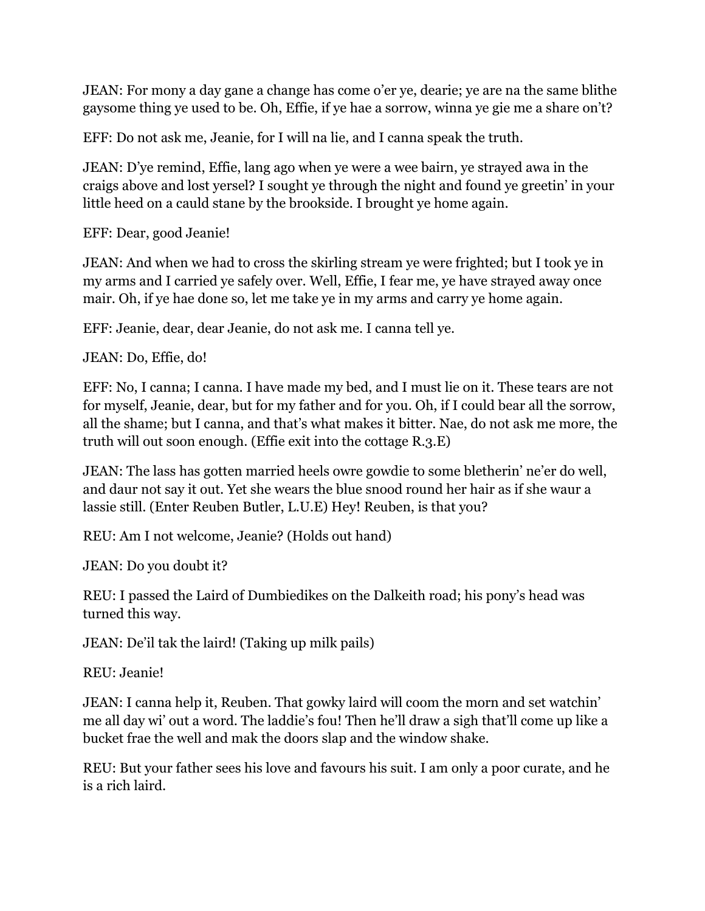JEAN: For mony a day gane a change has come o'er ye, dearie; ye are na the same blithe gaysome thing ye used to be. Oh, Effie, if ye hae a sorrow, winna ye gie me a share on't?

EFF: Do not ask me, Jeanie, for I will na lie, and I canna speak the truth.

JEAN: D'ye remind, Effie, lang ago when ye were a wee bairn, ye strayed awa in the craigs above and lost yersel? I sought ye through the night and found ye greetin' in your little heed on a cauld stane by the brookside. I brought ye home again.

EFF: Dear, good Jeanie!

JEAN: And when we had to cross the skirling stream ye were frighted; but I took ye in my arms and I carried ye safely over. Well, Effie, I fear me, ye have strayed away once mair. Oh, if ye hae done so, let me take ye in my arms and carry ye home again.

EFF: Jeanie, dear, dear Jeanie, do not ask me. I canna tell ye.

JEAN: Do, Effie, do!

EFF: No, I canna; I canna. I have made my bed, and I must lie on it. These tears are not for myself, Jeanie, dear, but for my father and for you. Oh, if I could bear all the sorrow, all the shame; but I canna, and that's what makes it bitter. Nae, do not ask me more, the truth will out soon enough. (Effie exit into the cottage R.3.E)

JEAN: The lass has gotten married heels owre gowdie to some bletherin' ne'er do well, and daur not say it out. Yet she wears the blue snood round her hair as if she waur a lassie still. (Enter Reuben Butler, L.U.E) Hey! Reuben, is that you?

REU: Am I not welcome, Jeanie? (Holds out hand)

JEAN: Do you doubt it?

REU: I passed the Laird of Dumbiedikes on the Dalkeith road; his pony's head was turned this way.

JEAN: De'il tak the laird! (Taking up milk pails)

REU: Jeanie!

JEAN: I canna help it, Reuben. That gowky laird will coom the morn and set watchin' me all day wi' out a word. The laddie's fou! Then he'll draw a sigh that'll come up like a bucket frae the well and mak the doors slap and the window shake.

REU: But your father sees his love and favours his suit. I am only a poor curate, and he is a rich laird.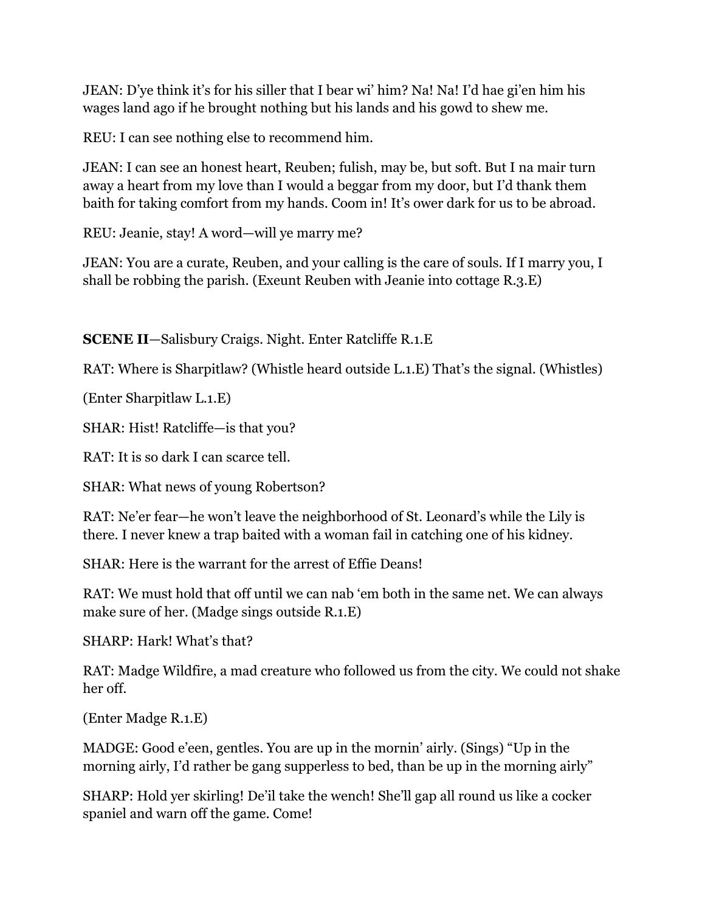JEAN: D'ye think it's for his siller that I bear wi' him? Na! Na! I'd hae gi'en him his wages land ago if he brought nothing but his lands and his gowd to shew me.

REU: I can see nothing else to recommend him.

JEAN: I can see an honest heart, Reuben; fulish, may be, but soft. But I na mair turn away a heart from my love than I would a beggar from my door, but I'd thank them baith for taking comfort from my hands. Coom in! It's ower dark for us to be abroad.

REU: Jeanie, stay! A word—will ye marry me?

JEAN: You are a curate, Reuben, and your calling is the care of souls. If I marry you, I shall be robbing the parish. (Exeunt Reuben with Jeanie into cottage R.3.E)

**SCENE II**—Salisbury Craigs. Night. Enter Ratcliffe R.1.E

RAT: Where is Sharpitlaw? (Whistle heard outside L.1.E) That's the signal. (Whistles)

(Enter Sharpitlaw L.1.E)

SHAR: Hist! Ratcliffe—is that you?

RAT: It is so dark I can scarce tell.

SHAR: What news of young Robertson?

RAT: Ne'er fear—he won't leave the neighborhood of St. Leonard's while the Lily is there. I never knew a trap baited with a woman fail in catching one of his kidney.

SHAR: Here is the warrant for the arrest of Effie Deans!

RAT: We must hold that off until we can nab 'em both in the same net. We can always make sure of her. (Madge sings outside R.1.E)

SHARP: Hark! What's that?

RAT: Madge Wildfire, a mad creature who followed us from the city. We could not shake her off.

(Enter Madge R.1.E)

MADGE: Good e'een, gentles. You are up in the mornin' airly. (Sings) "Up in the morning airly, I'd rather be gang supperless to bed, than be up in the morning airly"

SHARP: Hold yer skirling! De'il take the wench! She'll gap all round us like a cocker spaniel and warn off the game. Come!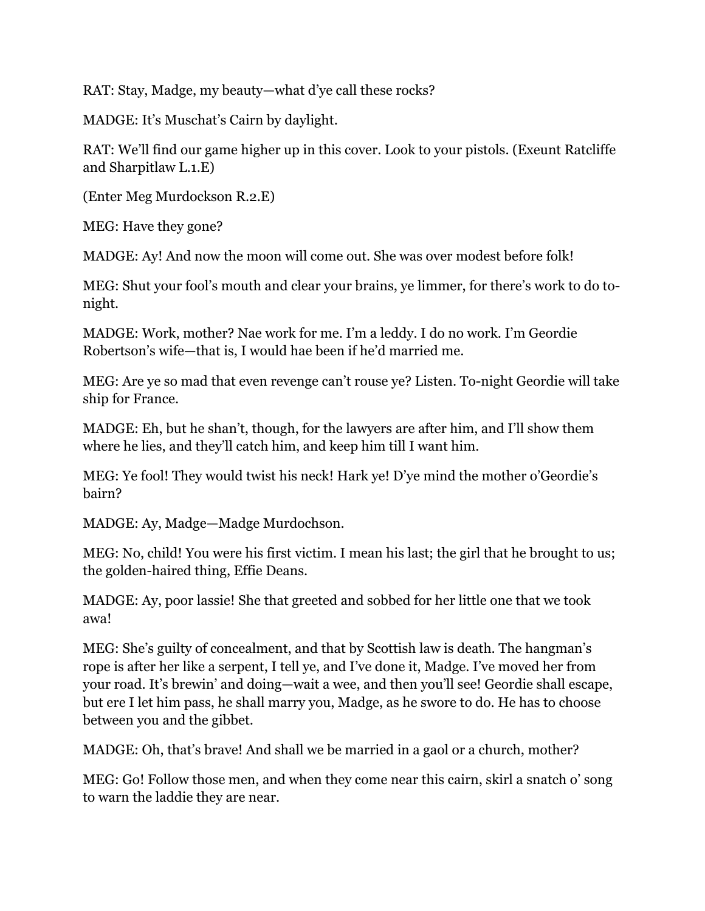RAT: Stay, Madge, my beauty—what d'ye call these rocks?

MADGE: It's Muschat's Cairn by daylight.

RAT: We'll find our game higher up in this cover. Look to your pistols. (Exeunt Ratcliffe and Sharpitlaw L.1.E)

(Enter Meg Murdockson R.2.E)

MEG: Have they gone?

MADGE: Ay! And now the moon will come out. She was over modest before folk!

MEG: Shut your fool's mouth and clear your brains, ye limmer, for there's work to do tonight.

MADGE: Work, mother? Nae work for me. I'm a leddy. I do no work. I'm Geordie Robertson's wife—that is, I would hae been if he'd married me.

MEG: Are ye so mad that even revenge can't rouse ye? Listen. To-night Geordie will take ship for France.

MADGE: Eh, but he shan't, though, for the lawyers are after him, and I'll show them where he lies, and they'll catch him, and keep him till I want him.

MEG: Ye fool! They would twist his neck! Hark ye! D'ye mind the mother o'Geordie's bairn?

MADGE: Ay, Madge—Madge Murdochson.

MEG: No, child! You were his first victim. I mean his last; the girl that he brought to us; the golden-haired thing, Effie Deans.

MADGE: Ay, poor lassie! She that greeted and sobbed for her little one that we took awa!

MEG: She's guilty of concealment, and that by Scottish law is death. The hangman's rope is after her like a serpent, I tell ye, and I've done it, Madge. I've moved her from your road. It's brewin' and doing—wait a wee, and then you'll see! Geordie shall escape, but ere I let him pass, he shall marry you, Madge, as he swore to do. He has to choose between you and the gibbet.

MADGE: Oh, that's brave! And shall we be married in a gaol or a church, mother?

MEG: Go! Follow those men, and when they come near this cairn, skirl a snatch o' song to warn the laddie they are near.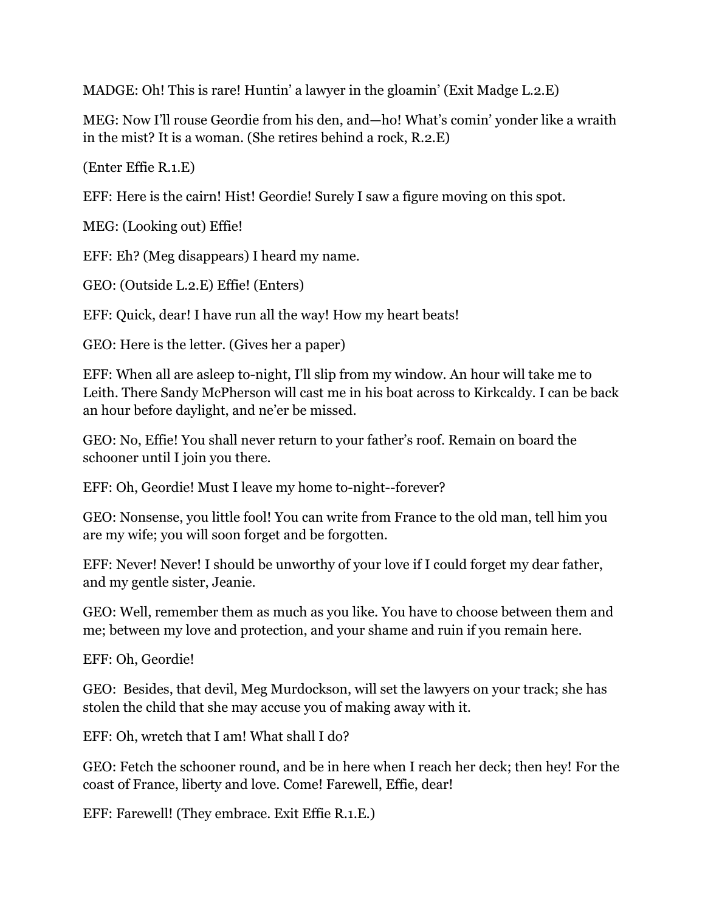MADGE: Oh! This is rare! Huntin' a lawyer in the gloamin' (Exit Madge L.2.E)

MEG: Now I'll rouse Geordie from his den, and—ho! What's comin' yonder like a wraith in the mist? It is a woman. (She retires behind a rock, R.2.E)

(Enter Effie R.1.E)

EFF: Here is the cairn! Hist! Geordie! Surely I saw a figure moving on this spot.

MEG: (Looking out) Effie!

EFF: Eh? (Meg disappears) I heard my name.

GEO: (Outside L.2.E) Effie! (Enters)

EFF: Quick, dear! I have run all the way! How my heart beats!

GEO: Here is the letter. (Gives her a paper)

EFF: When all are asleep to-night, I'll slip from my window. An hour will take me to Leith. There Sandy McPherson will cast me in his boat across to Kirkcaldy. I can be back an hour before daylight, and ne'er be missed.

GEO: No, Effie! You shall never return to your father's roof. Remain on board the schooner until I join you there.

EFF: Oh, Geordie! Must I leave my home to-night--forever?

GEO: Nonsense, you little fool! You can write from France to the old man, tell him you are my wife; you will soon forget and be forgotten.

EFF: Never! Never! I should be unworthy of your love if I could forget my dear father, and my gentle sister, Jeanie.

GEO: Well, remember them as much as you like. You have to choose between them and me; between my love and protection, and your shame and ruin if you remain here.

EFF: Oh, Geordie!

GEO: Besides, that devil, Meg Murdockson, will set the lawyers on your track; she has stolen the child that she may accuse you of making away with it.

EFF: Oh, wretch that I am! What shall I do?

GEO: Fetch the schooner round, and be in here when I reach her deck; then hey! For the coast of France, liberty and love. Come! Farewell, Effie, dear!

EFF: Farewell! (They embrace. Exit Effie R.1.E.)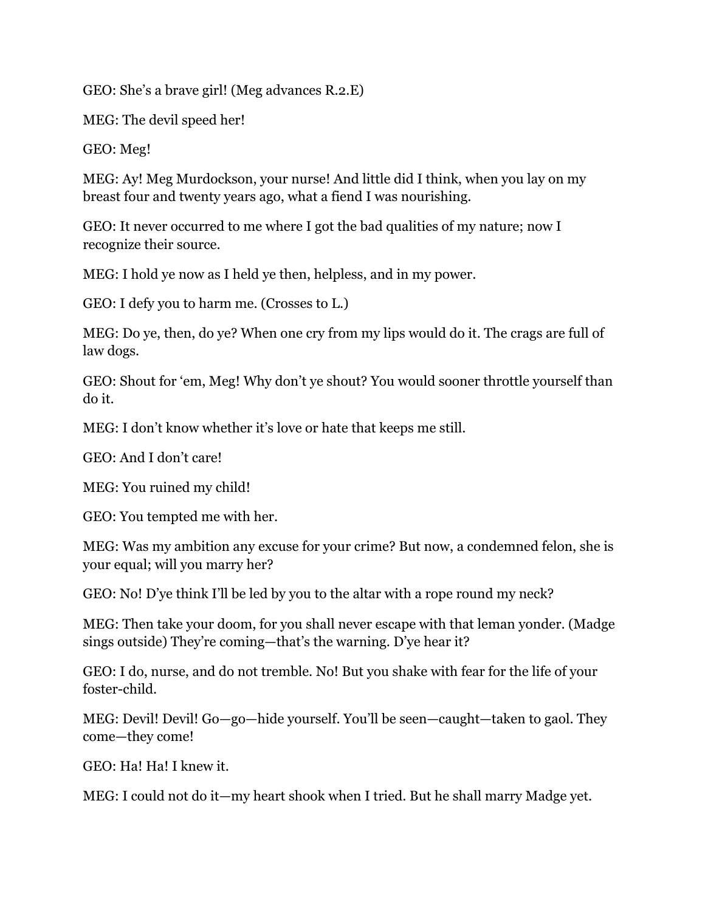GEO: She's a brave girl! (Meg advances R.2.E)

MEG: The devil speed her!

GEO: Meg!

MEG: Ay! Meg Murdockson, your nurse! And little did I think, when you lay on my breast four and twenty years ago, what a fiend I was nourishing.

GEO: It never occurred to me where I got the bad qualities of my nature; now I recognize their source.

MEG: I hold ye now as I held ye then, helpless, and in my power.

GEO: I defy you to harm me. (Crosses to L.)

MEG: Do ye, then, do ye? When one cry from my lips would do it. The crags are full of law dogs.

GEO: Shout for 'em, Meg! Why don't ye shout? You would sooner throttle yourself than do it.

MEG: I don't know whether it's love or hate that keeps me still.

GEO: And I don't care!

MEG: You ruined my child!

GEO: You tempted me with her.

MEG: Was my ambition any excuse for your crime? But now, a condemned felon, she is your equal; will you marry her?

GEO: No! D'ye think I'll be led by you to the altar with a rope round my neck?

MEG: Then take your doom, for you shall never escape with that leman yonder. (Madge sings outside) They're coming—that's the warning. D'ye hear it?

GEO: I do, nurse, and do not tremble. No! But you shake with fear for the life of your foster-child.

MEG: Devil! Devil! Go—go—hide yourself. You'll be seen—caught—taken to gaol. They come—they come!

GEO: Ha! Ha! I knew it.

MEG: I could not do it—my heart shook when I tried. But he shall marry Madge yet.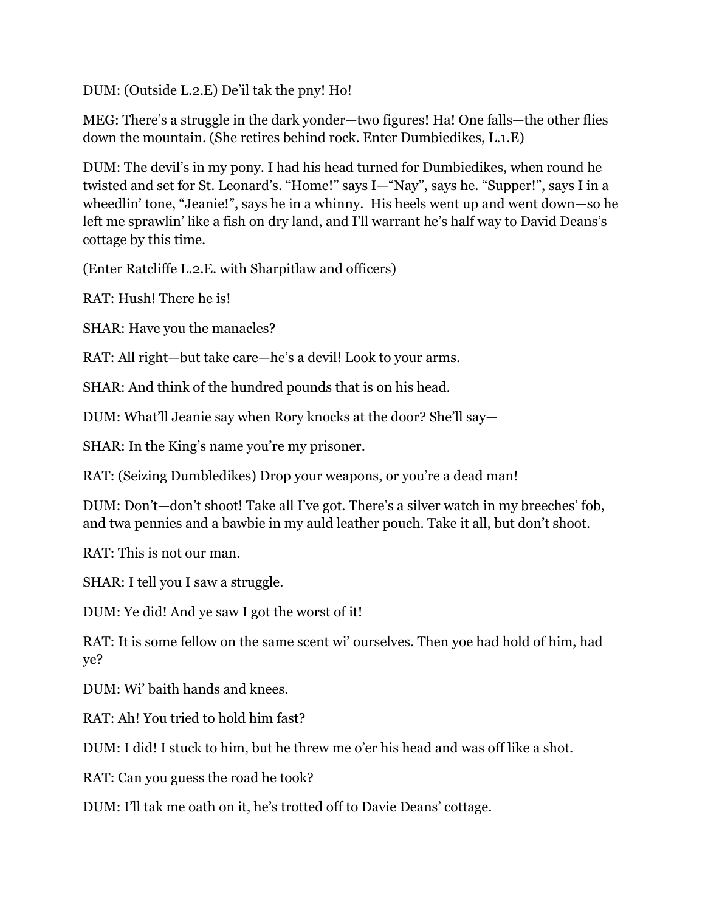DUM: (Outside L.2.E) De'il tak the pny! Ho!

MEG: There's a struggle in the dark yonder—two figures! Ha! One falls—the other flies down the mountain. (She retires behind rock. Enter Dumbiedikes, L.1.E)

DUM: The devil's in my pony. I had his head turned for Dumbiedikes, when round he twisted and set for St. Leonard's. "Home!" says I—"Nay", says he. "Supper!", says I in a wheedlin' tone, "Jeanie!", says he in a whinny. His heels went up and went down—so he left me sprawlin' like a fish on dry land, and I'll warrant he's half way to David Deans's cottage by this time.

(Enter Ratcliffe L.2.E. with Sharpitlaw and officers)

RAT: Hush! There he is!

SHAR: Have you the manacles?

RAT: All right—but take care—he's a devil! Look to your arms.

SHAR: And think of the hundred pounds that is on his head.

DUM: What'll Jeanie say when Rory knocks at the door? She'll say—

SHAR: In the King's name you're my prisoner.

RAT: (Seizing Dumbledikes) Drop your weapons, or you're a dead man!

DUM: Don't—don't shoot! Take all I've got. There's a silver watch in my breeches' fob, and twa pennies and a bawbie in my auld leather pouch. Take it all, but don't shoot.

RAT: This is not our man.

SHAR: I tell you I saw a struggle.

DUM: Ye did! And ye saw I got the worst of it!

RAT: It is some fellow on the same scent wi' ourselves. Then yoe had hold of him, had ye?

DUM: Wi' baith hands and knees.

RAT: Ah! You tried to hold him fast?

DUM: I did! I stuck to him, but he threw me o'er his head and was off like a shot.

RAT: Can you guess the road he took?

DUM: I'll tak me oath on it, he's trotted off to Davie Deans' cottage.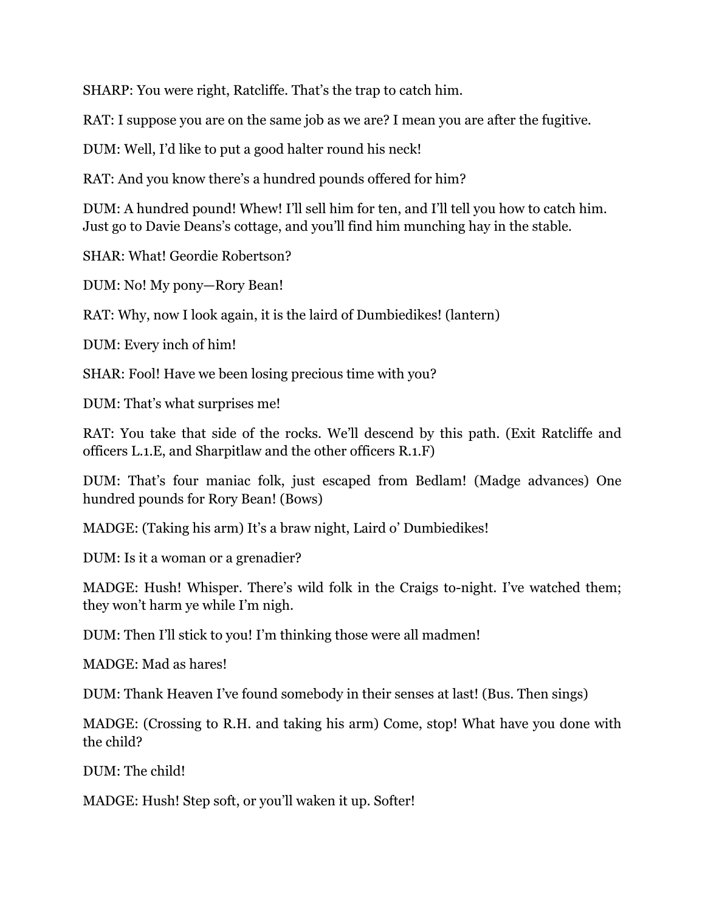SHARP: You were right, Ratcliffe. That's the trap to catch him.

RAT: I suppose you are on the same job as we are? I mean you are after the fugitive.

DUM: Well, I'd like to put a good halter round his neck!

RAT: And you know there's a hundred pounds offered for him?

DUM: A hundred pound! Whew! I'll sell him for ten, and I'll tell you how to catch him. Just go to Davie Deans's cottage, and you'll find him munching hay in the stable.

SHAR: What! Geordie Robertson?

DUM: No! My pony—Rory Bean!

RAT: Why, now I look again, it is the laird of Dumbiedikes! (lantern)

DUM: Every inch of him!

SHAR: Fool! Have we been losing precious time with you?

DUM: That's what surprises me!

RAT: You take that side of the rocks. We'll descend by this path. (Exit Ratcliffe and officers L.1.E, and Sharpitlaw and the other officers R.1.F)

DUM: That's four maniac folk, just escaped from Bedlam! (Madge advances) One hundred pounds for Rory Bean! (Bows)

MADGE: (Taking his arm) It's a braw night, Laird o' Dumbiedikes!

DUM: Is it a woman or a grenadier?

MADGE: Hush! Whisper. There's wild folk in the Craigs to-night. I've watched them; they won't harm ye while I'm nigh.

DUM: Then I'll stick to you! I'm thinking those were all madmen!

MADGE: Mad as hares!

DUM: Thank Heaven I've found somebody in their senses at last! (Bus. Then sings)

MADGE: (Crossing to R.H. and taking his arm) Come, stop! What have you done with the child?

DUM: The child!

MADGE: Hush! Step soft, or you'll waken it up. Softer!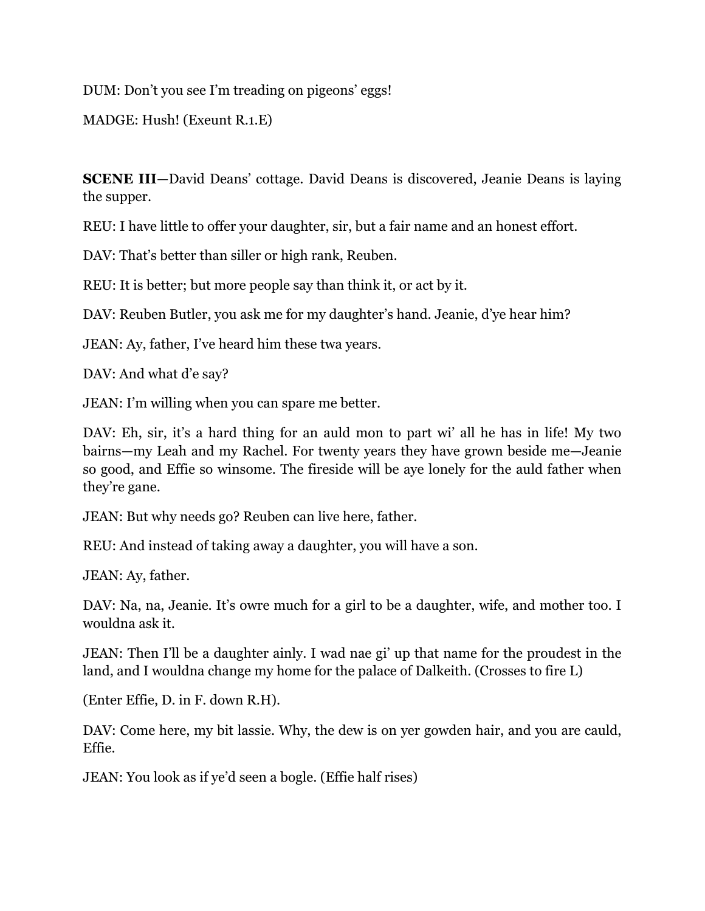DUM: Don't you see I'm treading on pigeons' eggs!

MADGE: Hush! (Exeunt R.1.E)

**SCENE III**—David Deans' cottage. David Deans is discovered, Jeanie Deans is laying the supper.

REU: I have little to offer your daughter, sir, but a fair name and an honest effort.

DAV: That's better than siller or high rank, Reuben.

REU: It is better; but more people say than think it, or act by it.

DAV: Reuben Butler, you ask me for my daughter's hand. Jeanie, d'ye hear him?

JEAN: Ay, father, I've heard him these twa years.

DAV: And what d'e say?

JEAN: I'm willing when you can spare me better.

DAV: Eh, sir, it's a hard thing for an auld mon to part wi' all he has in life! My two bairns—my Leah and my Rachel. For twenty years they have grown beside me—Jeanie so good, and Effie so winsome. The fireside will be aye lonely for the auld father when they're gane.

JEAN: But why needs go? Reuben can live here, father.

REU: And instead of taking away a daughter, you will have a son.

JEAN: Ay, father.

DAV: Na, na, Jeanie. It's owre much for a girl to be a daughter, wife, and mother too. I wouldna ask it.

JEAN: Then I'll be a daughter ainly. I wad nae gi' up that name for the proudest in the land, and I wouldna change my home for the palace of Dalkeith. (Crosses to fire L)

(Enter Effie, D. in F. down R.H).

DAV: Come here, my bit lassie. Why, the dew is on yer gowden hair, and you are cauld, Effie.

JEAN: You look as if ye'd seen a bogle. (Effie half rises)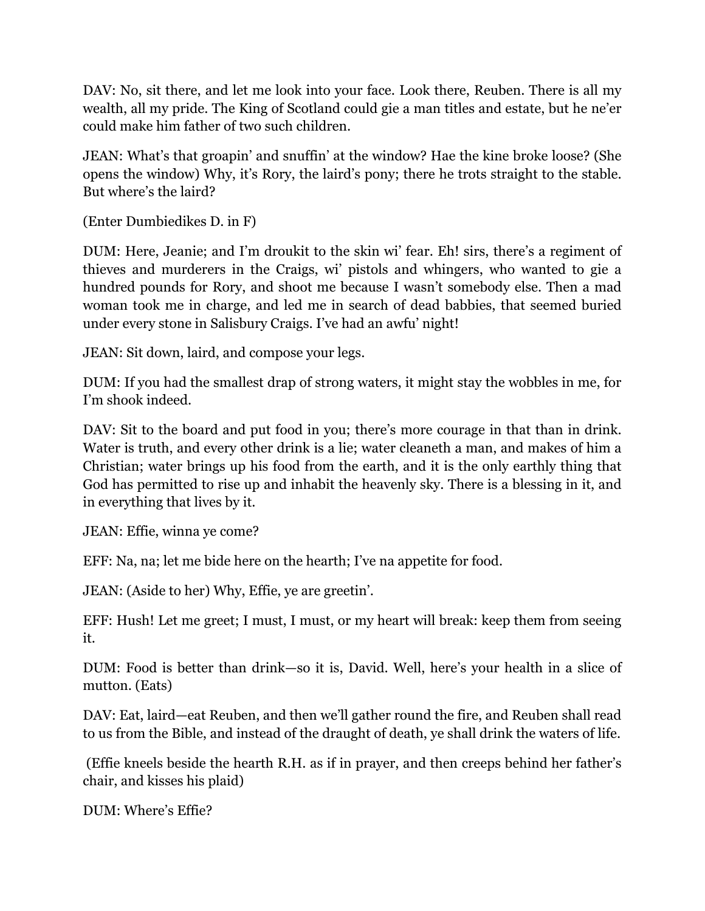DAV: No, sit there, and let me look into your face. Look there, Reuben. There is all my wealth, all my pride. The King of Scotland could gie a man titles and estate, but he ne'er could make him father of two such children.

JEAN: What's that groapin' and snuffin' at the window? Hae the kine broke loose? (She opens the window) Why, it's Rory, the laird's pony; there he trots straight to the stable. But where's the laird?

(Enter Dumbiedikes D. in F)

DUM: Here, Jeanie; and I'm droukit to the skin wi' fear. Eh! sirs, there's a regiment of thieves and murderers in the Craigs, wi' pistols and whingers, who wanted to gie a hundred pounds for Rory, and shoot me because I wasn't somebody else. Then a mad woman took me in charge, and led me in search of dead babbies, that seemed buried under every stone in Salisbury Craigs. I've had an awfu' night!

JEAN: Sit down, laird, and compose your legs.

DUM: If you had the smallest drap of strong waters, it might stay the wobbles in me, for I'm shook indeed.

DAV: Sit to the board and put food in you; there's more courage in that than in drink. Water is truth, and every other drink is a lie; water cleaneth a man, and makes of him a Christian; water brings up his food from the earth, and it is the only earthly thing that God has permitted to rise up and inhabit the heavenly sky. There is a blessing in it, and in everything that lives by it.

JEAN: Effie, winna ye come?

EFF: Na, na; let me bide here on the hearth; I've na appetite for food.

JEAN: (Aside to her) Why, Effie, ye are greetin'.

EFF: Hush! Let me greet; I must, I must, or my heart will break: keep them from seeing it.

DUM: Food is better than drink—so it is, David. Well, here's your health in a slice of mutton. (Eats)

DAV: Eat, laird—eat Reuben, and then we'll gather round the fire, and Reuben shall read to us from the Bible, and instead of the draught of death, ye shall drink the waters of life.

(Effie kneels beside the hearth R.H. as if in prayer, and then creeps behind her father's chair, and kisses his plaid)

DUM: Where's Effie?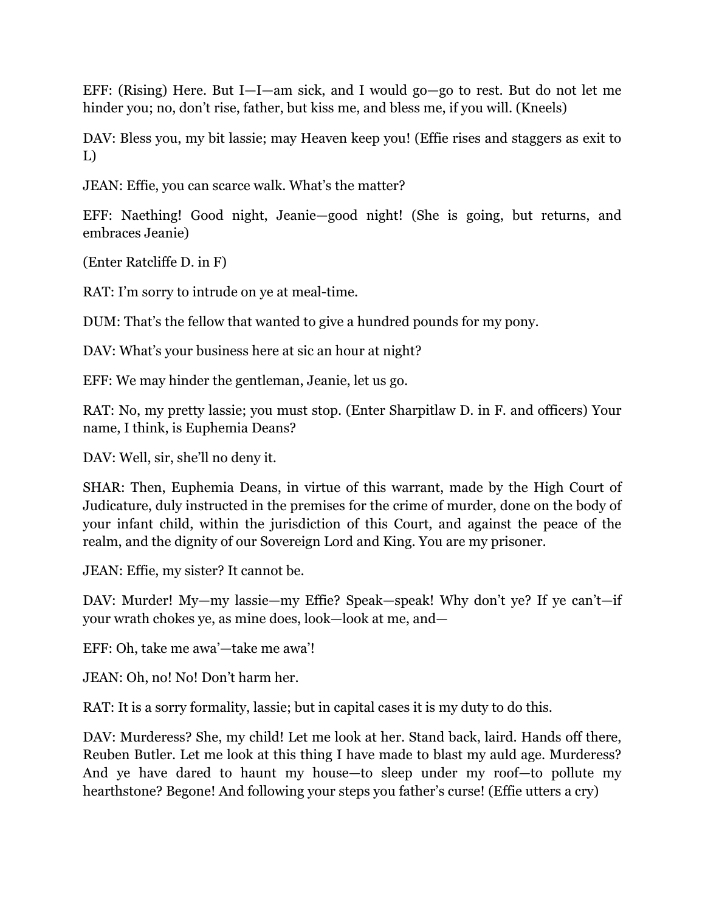EFF: (Rising) Here. But I—I—am sick, and I would go—go to rest. But do not let me hinder you; no, don't rise, father, but kiss me, and bless me, if you will. (Kneels)

DAV: Bless you, my bit lassie; may Heaven keep you! (Effie rises and staggers as exit to L)

JEAN: Effie, you can scarce walk. What's the matter?

EFF: Naething! Good night, Jeanie—good night! (She is going, but returns, and embraces Jeanie)

(Enter Ratcliffe D. in F)

RAT: I'm sorry to intrude on ye at meal-time.

DUM: That's the fellow that wanted to give a hundred pounds for my pony.

DAV: What's your business here at sic an hour at night?

EFF: We may hinder the gentleman, Jeanie, let us go.

RAT: No, my pretty lassie; you must stop. (Enter Sharpitlaw D. in F. and officers) Your name, I think, is Euphemia Deans?

DAV: Well, sir, she'll no deny it.

SHAR: Then, Euphemia Deans, in virtue of this warrant, made by the High Court of Judicature, duly instructed in the premises for the crime of murder, done on the body of your infant child, within the jurisdiction of this Court, and against the peace of the realm, and the dignity of our Sovereign Lord and King. You are my prisoner.

JEAN: Effie, my sister? It cannot be.

DAV: Murder! My—my lassie—my Effie? Speak—speak! Why don't ye? If ye can't—if your wrath chokes ye, as mine does, look—look at me, and—

EFF: Oh, take me awa'—take me awa'!

JEAN: Oh, no! No! Don't harm her.

RAT: It is a sorry formality, lassie; but in capital cases it is my duty to do this.

DAV: Murderess? She, my child! Let me look at her. Stand back, laird. Hands off there, Reuben Butler. Let me look at this thing I have made to blast my auld age. Murderess? And ye have dared to haunt my house—to sleep under my roof—to pollute my hearthstone? Begone! And following your steps you father's curse! (Effie utters a cry)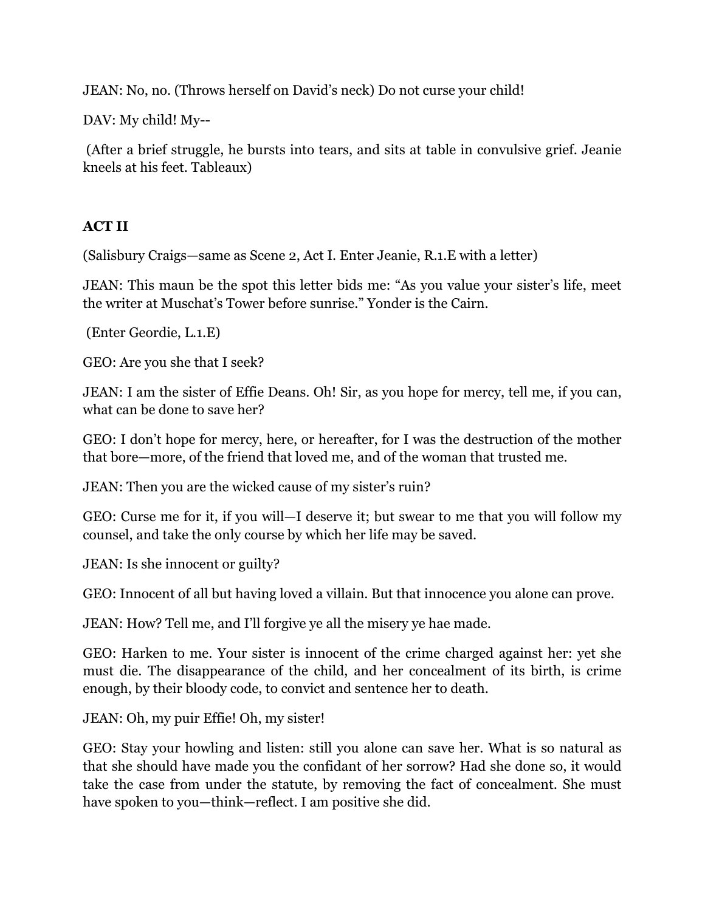JEAN: No, no. (Throws herself on David's neck) Do not curse your child!

DAV: My child! My--

(After a brief struggle, he bursts into tears, and sits at table in convulsive grief. Jeanie kneels at his feet. Tableaux)

#### **ACT II**

(Salisbury Craigs—same as Scene 2, Act I. Enter Jeanie, R.1.E with a letter)

JEAN: This maun be the spot this letter bids me: "As you value your sister's life, meet the writer at Muschat's Tower before sunrise." Yonder is the Cairn.

(Enter Geordie, L.1.E)

GEO: Are you she that I seek?

JEAN: I am the sister of Effie Deans. Oh! Sir, as you hope for mercy, tell me, if you can, what can be done to save her?

GEO: I don't hope for mercy, here, or hereafter, for I was the destruction of the mother that bore—more, of the friend that loved me, and of the woman that trusted me.

JEAN: Then you are the wicked cause of my sister's ruin?

GEO: Curse me for it, if you will—I deserve it; but swear to me that you will follow my counsel, and take the only course by which her life may be saved.

JEAN: Is she innocent or guilty?

GEO: Innocent of all but having loved a villain. But that innocence you alone can prove.

JEAN: How? Tell me, and I'll forgive ye all the misery ye hae made.

GEO: Harken to me. Your sister is innocent of the crime charged against her: yet she must die. The disappearance of the child, and her concealment of its birth, is crime enough, by their bloody code, to convict and sentence her to death.

JEAN: Oh, my puir Effie! Oh, my sister!

GEO: Stay your howling and listen: still you alone can save her. What is so natural as that she should have made you the confidant of her sorrow? Had she done so, it would take the case from under the statute, by removing the fact of concealment. She must have spoken to you—think—reflect. I am positive she did.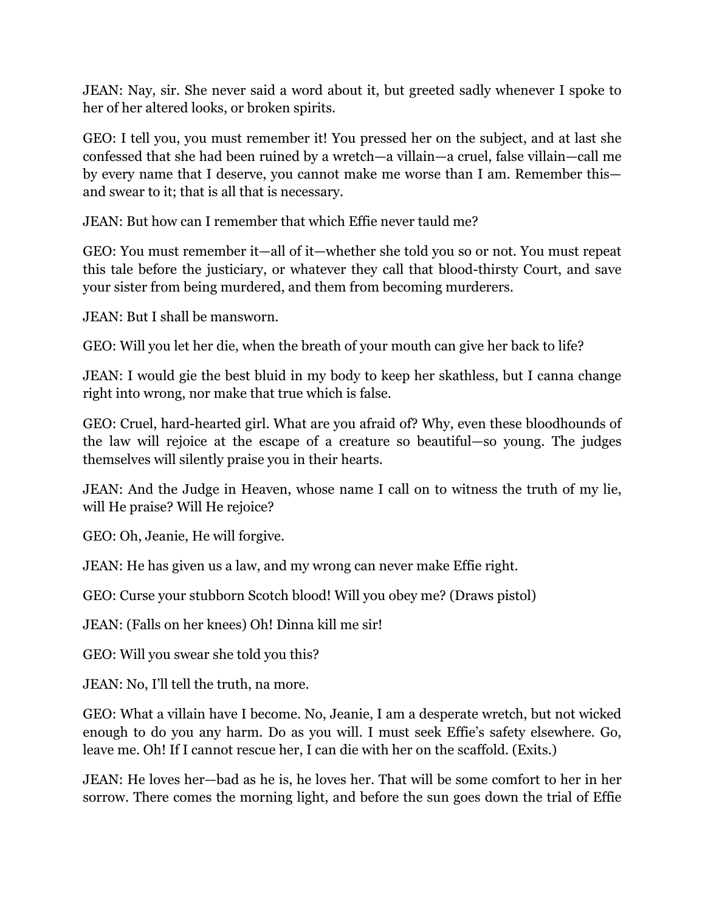JEAN: Nay, sir. She never said a word about it, but greeted sadly whenever I spoke to her of her altered looks, or broken spirits.

GEO: I tell you, you must remember it! You pressed her on the subject, and at last she confessed that she had been ruined by a wretch—a villain—a cruel, false villain—call me by every name that I deserve, you cannot make me worse than I am. Remember this and swear to it; that is all that is necessary.

JEAN: But how can I remember that which Effie never tauld me?

GEO: You must remember it—all of it—whether she told you so or not. You must repeat this tale before the justiciary, or whatever they call that blood-thirsty Court, and save your sister from being murdered, and them from becoming murderers.

JEAN: But I shall be mansworn.

GEO: Will you let her die, when the breath of your mouth can give her back to life?

JEAN: I would gie the best bluid in my body to keep her skathless, but I canna change right into wrong, nor make that true which is false.

GEO: Cruel, hard-hearted girl. What are you afraid of? Why, even these bloodhounds of the law will rejoice at the escape of a creature so beautiful—so young. The judges themselves will silently praise you in their hearts.

JEAN: And the Judge in Heaven, whose name I call on to witness the truth of my lie, will He praise? Will He rejoice?

GEO: Oh, Jeanie, He will forgive.

JEAN: He has given us a law, and my wrong can never make Effie right.

GEO: Curse your stubborn Scotch blood! Will you obey me? (Draws pistol)

JEAN: (Falls on her knees) Oh! Dinna kill me sir!

GEO: Will you swear she told you this?

JEAN: No, I'll tell the truth, na more.

GEO: What a villain have I become. No, Jeanie, I am a desperate wretch, but not wicked enough to do you any harm. Do as you will. I must seek Effie's safety elsewhere. Go, leave me. Oh! If I cannot rescue her, I can die with her on the scaffold. (Exits.)

JEAN: He loves her—bad as he is, he loves her. That will be some comfort to her in her sorrow. There comes the morning light, and before the sun goes down the trial of Effie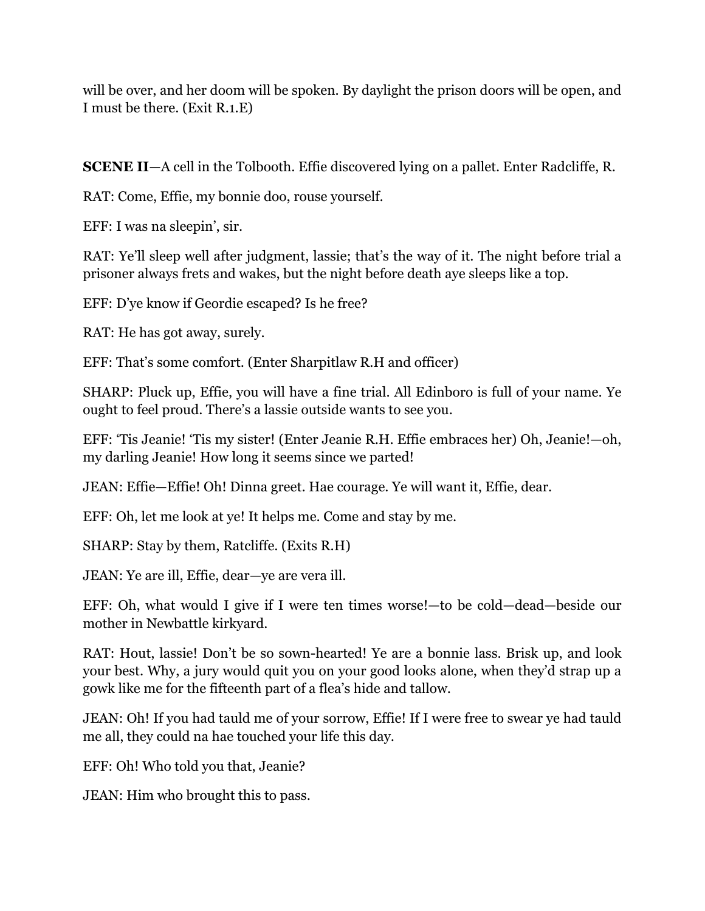will be over, and her doom will be spoken. By daylight the prison doors will be open, and I must be there. (Exit R.1.E)

**SCENE II**—A cell in the Tolbooth. Effie discovered lying on a pallet. Enter Radcliffe, R.

RAT: Come, Effie, my bonnie doo, rouse yourself.

EFF: I was na sleepin', sir.

RAT: Ye'll sleep well after judgment, lassie; that's the way of it. The night before trial a prisoner always frets and wakes, but the night before death aye sleeps like a top.

EFF: D'ye know if Geordie escaped? Is he free?

RAT: He has got away, surely.

EFF: That's some comfort. (Enter Sharpitlaw R.H and officer)

SHARP: Pluck up, Effie, you will have a fine trial. All Edinboro is full of your name. Ye ought to feel proud. There's a lassie outside wants to see you.

EFF: 'Tis Jeanie! 'Tis my sister! (Enter Jeanie R.H. Effie embraces her) Oh, Jeanie!—oh, my darling Jeanie! How long it seems since we parted!

JEAN: Effie—Effie! Oh! Dinna greet. Hae courage. Ye will want it, Effie, dear.

EFF: Oh, let me look at ye! It helps me. Come and stay by me.

SHARP: Stay by them, Ratcliffe. (Exits R.H)

JEAN: Ye are ill, Effie, dear—ye are vera ill.

EFF: Oh, what would I give if I were ten times worse!—to be cold—dead—beside our mother in Newbattle kirkyard.

RAT: Hout, lassie! Don't be so sown-hearted! Ye are a bonnie lass. Brisk up, and look your best. Why, a jury would quit you on your good looks alone, when they'd strap up a gowk like me for the fifteenth part of a flea's hide and tallow.

JEAN: Oh! If you had tauld me of your sorrow, Effie! If I were free to swear ye had tauld me all, they could na hae touched your life this day.

EFF: Oh! Who told you that, Jeanie?

JEAN: Him who brought this to pass.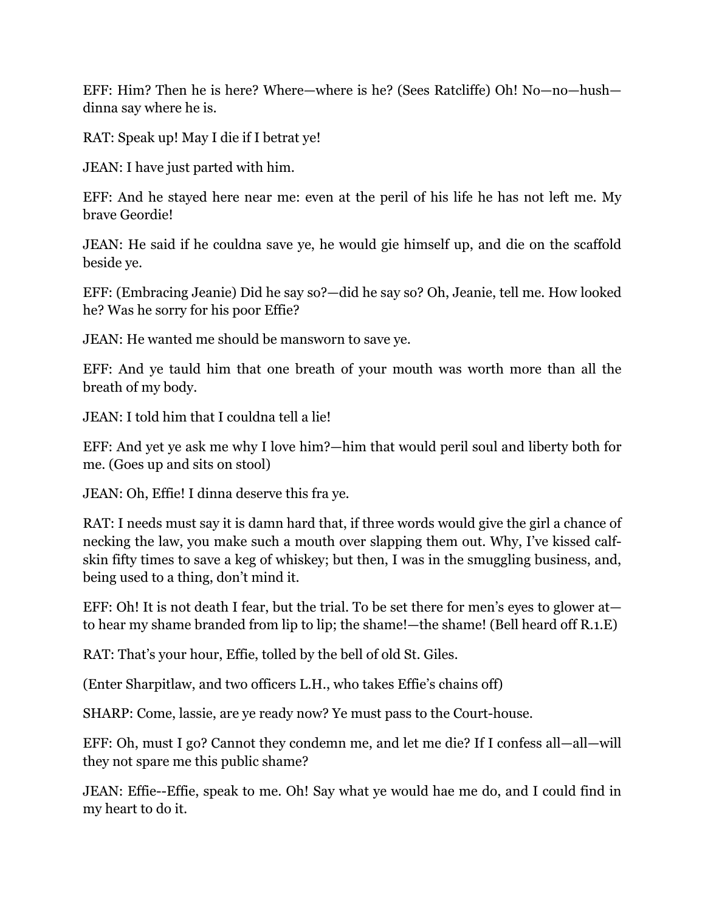EFF: Him? Then he is here? Where—where is he? (Sees Ratcliffe) Oh! No—no—hush dinna say where he is.

RAT: Speak up! May I die if I betrat ye!

JEAN: I have just parted with him.

EFF: And he stayed here near me: even at the peril of his life he has not left me. My brave Geordie!

JEAN: He said if he couldna save ye, he would gie himself up, and die on the scaffold beside ye.

EFF: (Embracing Jeanie) Did he say so?—did he say so? Oh, Jeanie, tell me. How looked he? Was he sorry for his poor Effie?

JEAN: He wanted me should be mansworn to save ye.

EFF: And ye tauld him that one breath of your mouth was worth more than all the breath of my body.

JEAN: I told him that I couldna tell a lie!

EFF: And yet ye ask me why I love him?—him that would peril soul and liberty both for me. (Goes up and sits on stool)

JEAN: Oh, Effie! I dinna deserve this fra ye.

RAT: I needs must say it is damn hard that, if three words would give the girl a chance of necking the law, you make such a mouth over slapping them out. Why, I've kissed calfskin fifty times to save a keg of whiskey; but then, I was in the smuggling business, and, being used to a thing, don't mind it.

EFF: Oh! It is not death I fear, but the trial. To be set there for men's eyes to glower at to hear my shame branded from lip to lip; the shame!—the shame! (Bell heard off R.1.E)

RAT: That's your hour, Effie, tolled by the bell of old St. Giles.

(Enter Sharpitlaw, and two officers L.H., who takes Effie's chains off)

SHARP: Come, lassie, are ye ready now? Ye must pass to the Court-house.

EFF: Oh, must I go? Cannot they condemn me, and let me die? If I confess all—all—will they not spare me this public shame?

JEAN: Effie--Effie, speak to me. Oh! Say what ye would hae me do, and I could find in my heart to do it.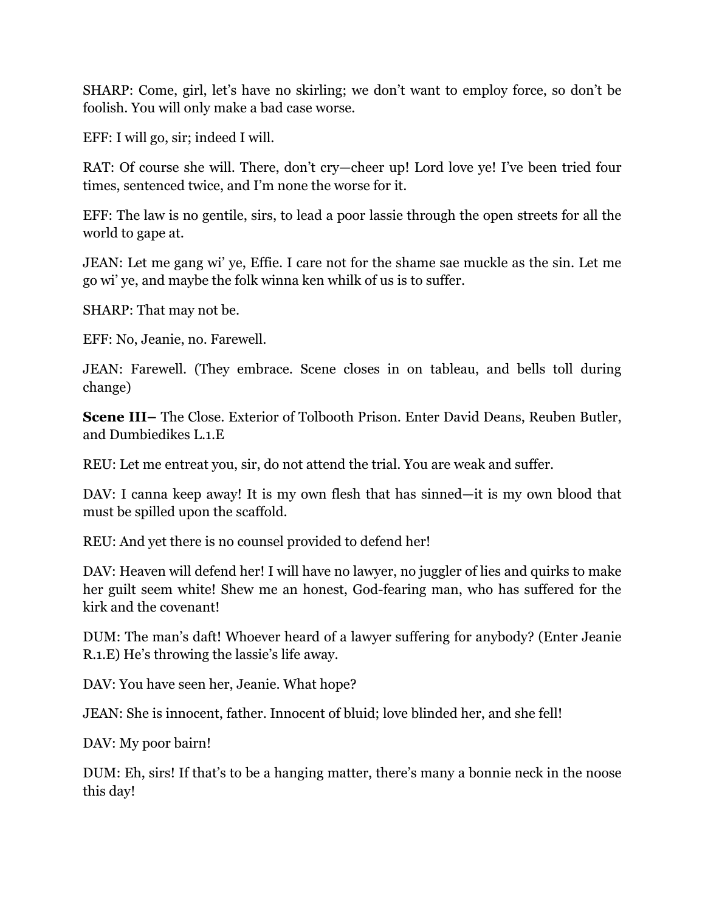SHARP: Come, girl, let's have no skirling; we don't want to employ force, so don't be foolish. You will only make a bad case worse.

EFF: I will go, sir; indeed I will.

RAT: Of course she will. There, don't cry—cheer up! Lord love ye! I've been tried four times, sentenced twice, and I'm none the worse for it.

EFF: The law is no gentile, sirs, to lead a poor lassie through the open streets for all the world to gape at.

JEAN: Let me gang wi' ye, Effie. I care not for the shame sae muckle as the sin. Let me go wi' ye, and maybe the folk winna ken whilk of us is to suffer.

SHARP: That may not be.

EFF: No, Jeanie, no. Farewell.

JEAN: Farewell. (They embrace. Scene closes in on tableau, and bells toll during change)

**Scene III–** The Close. Exterior of Tolbooth Prison. Enter David Deans, Reuben Butler, and Dumbiedikes L.1.E

REU: Let me entreat you, sir, do not attend the trial. You are weak and suffer.

DAV: I canna keep away! It is my own flesh that has sinned—it is my own blood that must be spilled upon the scaffold.

REU: And yet there is no counsel provided to defend her!

DAV: Heaven will defend her! I will have no lawyer, no juggler of lies and quirks to make her guilt seem white! Shew me an honest, God-fearing man, who has suffered for the kirk and the covenant!

DUM: The man's daft! Whoever heard of a lawyer suffering for anybody? (Enter Jeanie R.1.E) He's throwing the lassie's life away.

DAV: You have seen her, Jeanie. What hope?

JEAN: She is innocent, father. Innocent of bluid; love blinded her, and she fell!

DAV: My poor bairn!

DUM: Eh, sirs! If that's to be a hanging matter, there's many a bonnie neck in the noose this day!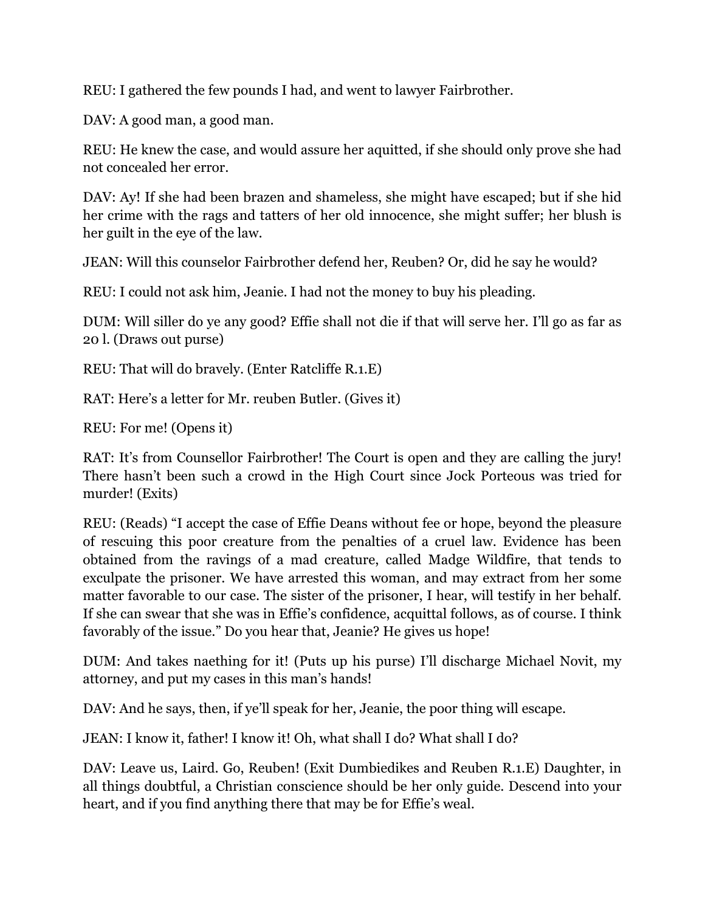REU: I gathered the few pounds I had, and went to lawyer Fairbrother.

DAV: A good man, a good man.

REU: He knew the case, and would assure her aquitted, if she should only prove she had not concealed her error.

DAV: Ay! If she had been brazen and shameless, she might have escaped; but if she hid her crime with the rags and tatters of her old innocence, she might suffer; her blush is her guilt in the eye of the law.

JEAN: Will this counselor Fairbrother defend her, Reuben? Or, did he say he would?

REU: I could not ask him, Jeanie. I had not the money to buy his pleading.

DUM: Will siller do ye any good? Effie shall not die if that will serve her. I'll go as far as 20 l. (Draws out purse)

REU: That will do bravely. (Enter Ratcliffe R.1.E)

RAT: Here's a letter for Mr. reuben Butler. (Gives it)

REU: For me! (Opens it)

RAT: It's from Counsellor Fairbrother! The Court is open and they are calling the jury! There hasn't been such a crowd in the High Court since Jock Porteous was tried for murder! (Exits)

REU: (Reads) "I accept the case of Effie Deans without fee or hope, beyond the pleasure of rescuing this poor creature from the penalties of a cruel law. Evidence has been obtained from the ravings of a mad creature, called Madge Wildfire, that tends to exculpate the prisoner. We have arrested this woman, and may extract from her some matter favorable to our case. The sister of the prisoner, I hear, will testify in her behalf. If she can swear that she was in Effie's confidence, acquittal follows, as of course. I think favorably of the issue." Do you hear that, Jeanie? He gives us hope!

DUM: And takes naething for it! (Puts up his purse) I'll discharge Michael Novit, my attorney, and put my cases in this man's hands!

DAV: And he says, then, if ye'll speak for her, Jeanie, the poor thing will escape.

JEAN: I know it, father! I know it! Oh, what shall I do? What shall I do?

DAV: Leave us, Laird. Go, Reuben! (Exit Dumbiedikes and Reuben R.1.E) Daughter, in all things doubtful, a Christian conscience should be her only guide. Descend into your heart, and if you find anything there that may be for Effie's weal.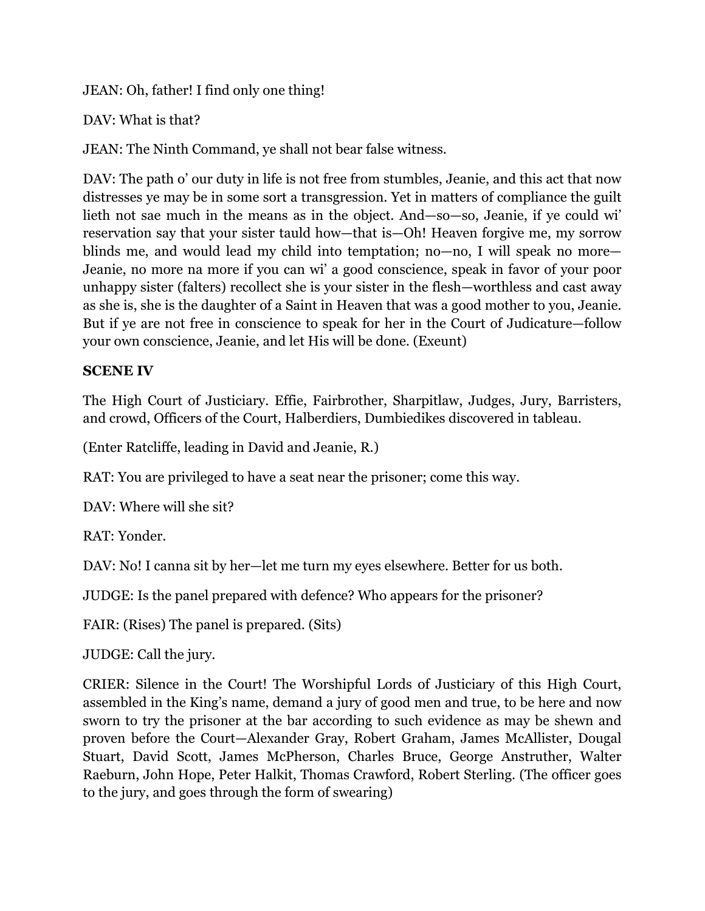JEAN: Oh, father! I find only one thing!

DAV: What is that?

JEAN: The Ninth Command, ye shall not bear false witness.

DAV: The path o' our duty in life is not free from stumbles, Jeanie, and this act that now distresses ye may be in some sort a transgression. Yet in matters of compliance the guilt lieth not sae much in the means as in the object. And—so—so, Jeanie, if ye could wi' reservation say that your sister tauld how—that is—Oh! Heaven forgive me, my sorrow blinds me, and would lead my child into temptation; no—no, I will speak no more— Jeanie, no more na more if you can wi' a good conscience, speak in favor of your poor unhappy sister (falters) recollect she is your sister in the flesh—worthless and cast away as she is, she is the daughter of a Saint in Heaven that was a good mother to you, Jeanie. But if ye are not free in conscience to speak for her in the Court of Judicature—follow your own conscience, Jeanie, and let His will be done. (Exeunt)

### **SCENE IV**

The High Court of Justiciary. Effie, Fairbrother, Sharpitlaw, Judges, Jury, Barristers, and crowd, Officers of the Court, Halberdiers, Dumbiedikes discovered in tableau.

(Enter Ratcliffe, leading in David and Jeanie, R.)

RAT: You are privileged to have a seat near the prisoner; come this way.

DAV: Where will she sit?

RAT: Yonder.

DAV: No! I canna sit by her—let me turn my eyes elsewhere. Better for us both.

JUDGE: Is the panel prepared with defence? Who appears for the prisoner?

FAIR: (Rises) The panel is prepared. (Sits)

JUDGE: Call the jury.

CRIER: Silence in the Court! The Worshipful Lords of Justiciary of this High Court, assembled in the King's name, demand a jury of good men and true, to be here and now sworn to try the prisoner at the bar according to such evidence as may be shewn and proven before the Court—Alexander Gray, Robert Graham, James McAllister, Dougal Stuart, David Scott, James McPherson, Charles Bruce, George Anstruther, Walter Raeburn, John Hope, Peter Halkit, Thomas Crawford, Robert Sterling. (The officer goes to the jury, and goes through the form of swearing)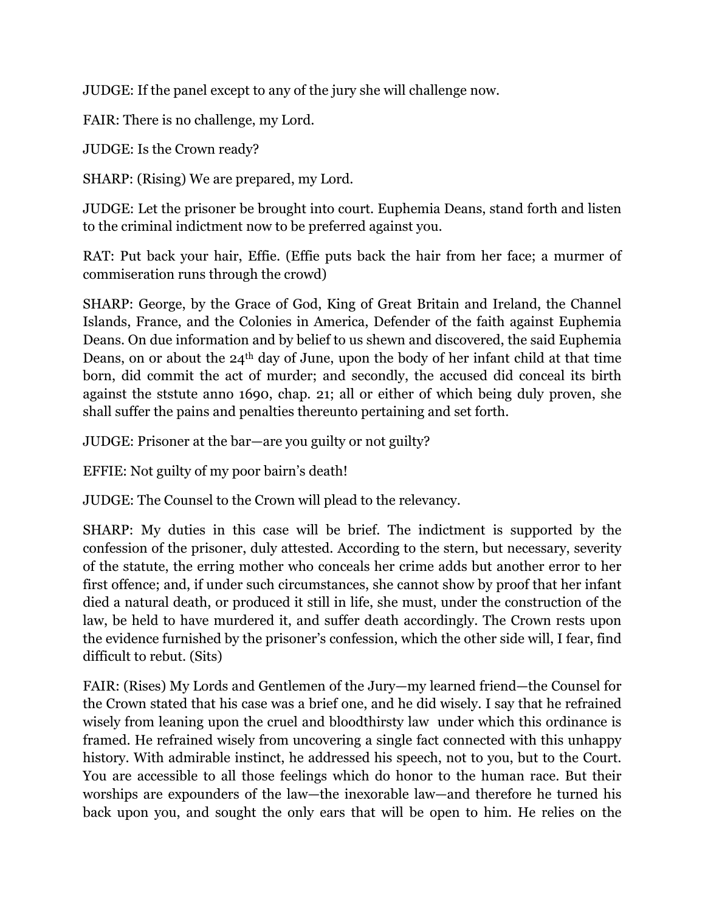JUDGE: If the panel except to any of the jury she will challenge now.

FAIR: There is no challenge, my Lord.

JUDGE: Is the Crown ready?

SHARP: (Rising) We are prepared, my Lord.

JUDGE: Let the prisoner be brought into court. Euphemia Deans, stand forth and listen to the criminal indictment now to be preferred against you.

RAT: Put back your hair, Effie. (Effie puts back the hair from her face; a murmer of commiseration runs through the crowd)

SHARP: George, by the Grace of God, King of Great Britain and Ireland, the Channel Islands, France, and the Colonies in America, Defender of the faith against Euphemia Deans. On due information and by belief to us shewn and discovered, the said Euphemia Deans, on or about the 24<sup>th</sup> day of June, upon the body of her infant child at that time born, did commit the act of murder; and secondly, the accused did conceal its birth against the ststute anno 1690, chap. 21; all or either of which being duly proven, she shall suffer the pains and penalties thereunto pertaining and set forth.

JUDGE: Prisoner at the bar—are you guilty or not guilty?

EFFIE: Not guilty of my poor bairn's death!

JUDGE: The Counsel to the Crown will plead to the relevancy.

SHARP: My duties in this case will be brief. The indictment is supported by the confession of the prisoner, duly attested. According to the stern, but necessary, severity of the statute, the erring mother who conceals her crime adds but another error to her first offence; and, if under such circumstances, she cannot show by proof that her infant died a natural death, or produced it still in life, she must, under the construction of the law, be held to have murdered it, and suffer death accordingly. The Crown rests upon the evidence furnished by the prisoner's confession, which the other side will, I fear, find difficult to rebut. (Sits)

FAIR: (Rises) My Lords and Gentlemen of the Jury—my learned friend—the Counsel for the Crown stated that his case was a brief one, and he did wisely. I say that he refrained wisely from leaning upon the cruel and bloodthirsty law under which this ordinance is framed. He refrained wisely from uncovering a single fact connected with this unhappy history. With admirable instinct, he addressed his speech, not to you, but to the Court. You are accessible to all those feelings which do honor to the human race. But their worships are expounders of the law—the inexorable law—and therefore he turned his back upon you, and sought the only ears that will be open to him. He relies on the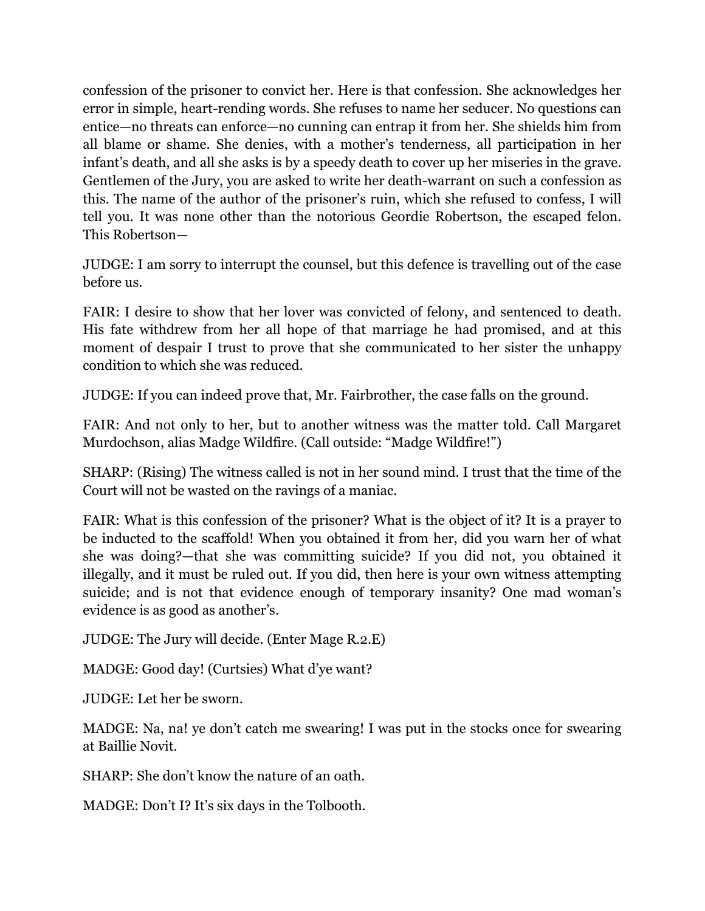confession of the prisoner to convict her. Here is that confession. She acknowledges her error in simple, heart-rending words. She refuses to name her seducer. No questions can entice—no threats can enforce—no cunning can entrap it from her. She shields him from all blame or shame. She denies, with a mother's tenderness, all participation in her infant's death, and all she asks is by a speedy death to cover up her miseries in the grave. Gentlemen of the Jury, you are asked to write her death-warrant on such a confession as this. The name of the author of the prisoner's ruin, which she refused to confess, I will tell you. It was none other than the notorious Geordie Robertson, the escaped felon. This Robertson—

JUDGE: I am sorry to interrupt the counsel, but this defence is travelling out of the case before us.

FAIR: I desire to show that her lover was convicted of felony, and sentenced to death. His fate withdrew from her all hope of that marriage he had promised, and at this moment of despair I trust to prove that she communicated to her sister the unhappy condition to which she was reduced.

JUDGE: If you can indeed prove that, Mr. Fairbrother, the case falls on the ground.

FAIR: And not only to her, but to another witness was the matter told. Call Margaret Murdochson, alias Madge Wildfire. (Call outside: "Madge Wildfire!")

SHARP: (Rising) The witness called is not in her sound mind. I trust that the time of the Court will not be wasted on the ravings of a maniac.

FAIR: What is this confession of the prisoner? What is the object of it? It is a prayer to be inducted to the scaffold! When you obtained it from her, did you warn her of what she was doing?—that she was committing suicide? If you did not, you obtained it illegally, and it must be ruled out. If you did, then here is your own witness attempting suicide; and is not that evidence enough of temporary insanity? One mad woman's evidence is as good as another's.

JUDGE: The Jury will decide. (Enter Mage R.2.E)

MADGE: Good day! (Curtsies) What d'ye want?

JUDGE: Let her be sworn.

MADGE: Na, na! ye don't catch me swearing! I was put in the stocks once for swearing at Baillie Novit.

SHARP: She don't know the nature of an oath.

MADGE: Don't I? It's six days in the Tolbooth.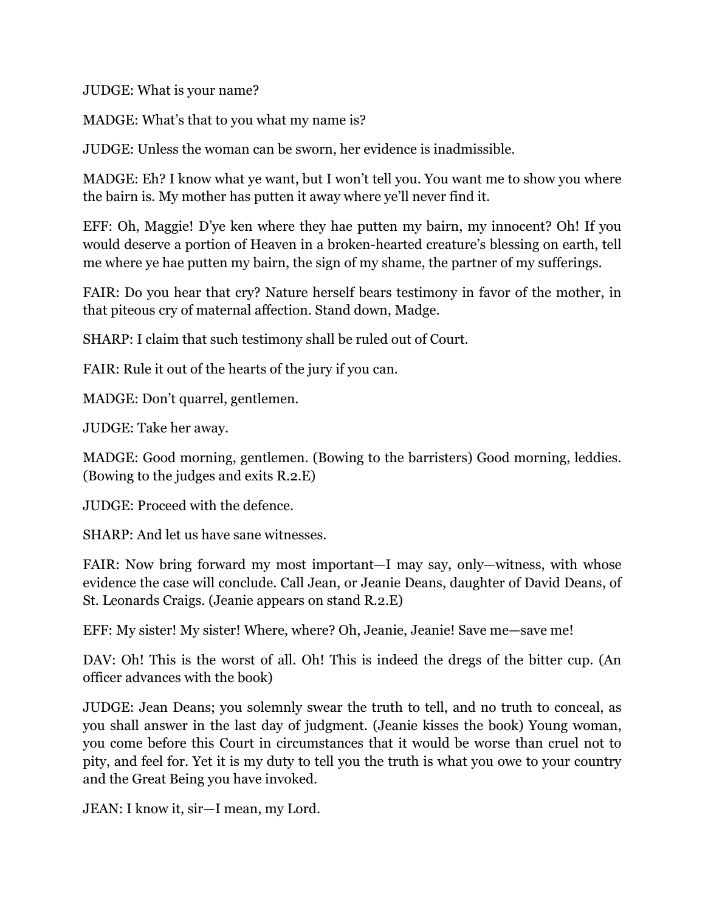JUDGE: What is your name?

MADGE: What's that to you what my name is?

JUDGE: Unless the woman can be sworn, her evidence is inadmissible.

MADGE: Eh? I know what ye want, but I won't tell you. You want me to show you where the bairn is. My mother has putten it away where ye'll never find it.

EFF: Oh, Maggie! D'ye ken where they hae putten my bairn, my innocent? Oh! If you would deserve a portion of Heaven in a broken-hearted creature's blessing on earth, tell me where ye hae putten my bairn, the sign of my shame, the partner of my sufferings.

FAIR: Do you hear that cry? Nature herself bears testimony in favor of the mother, in that piteous cry of maternal affection. Stand down, Madge.

SHARP: I claim that such testimony shall be ruled out of Court.

FAIR: Rule it out of the hearts of the jury if you can.

MADGE: Don't quarrel, gentlemen.

JUDGE: Take her away.

MADGE: Good morning, gentlemen. (Bowing to the barristers) Good morning, leddies. (Bowing to the judges and exits R.2.E)

JUDGE: Proceed with the defence.

SHARP: And let us have sane witnesses.

FAIR: Now bring forward my most important—I may say, only—witness, with whose evidence the case will conclude. Call Jean, or Jeanie Deans, daughter of David Deans, of St. Leonards Craigs. (Jeanie appears on stand R.2.E)

EFF: My sister! My sister! Where, where? Oh, Jeanie, Jeanie! Save me—save me!

DAV: Oh! This is the worst of all. Oh! This is indeed the dregs of the bitter cup. (An officer advances with the book)

JUDGE: Jean Deans; you solemnly swear the truth to tell, and no truth to conceal, as you shall answer in the last day of judgment. (Jeanie kisses the book) Young woman, you come before this Court in circumstances that it would be worse than cruel not to pity, and feel for. Yet it is my duty to tell you the truth is what you owe to your country and the Great Being you have invoked.

JEAN: I know it, sir—I mean, my Lord.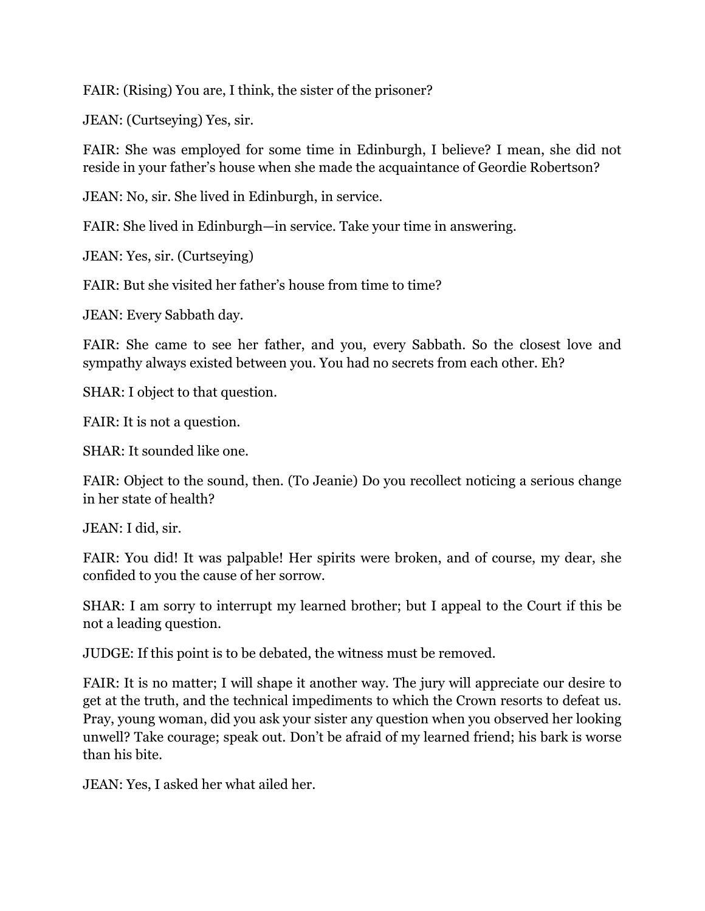FAIR: (Rising) You are, I think, the sister of the prisoner?

JEAN: (Curtseying) Yes, sir.

FAIR: She was employed for some time in Edinburgh, I believe? I mean, she did not reside in your father's house when she made the acquaintance of Geordie Robertson?

JEAN: No, sir. She lived in Edinburgh, in service.

FAIR: She lived in Edinburgh—in service. Take your time in answering.

JEAN: Yes, sir. (Curtseying)

FAIR: But she visited her father's house from time to time?

JEAN: Every Sabbath day.

FAIR: She came to see her father, and you, every Sabbath. So the closest love and sympathy always existed between you. You had no secrets from each other. Eh?

SHAR: I object to that question.

FAIR: It is not a question.

SHAR: It sounded like one.

FAIR: Object to the sound, then. (To Jeanie) Do you recollect noticing a serious change in her state of health?

JEAN: I did, sir.

FAIR: You did! It was palpable! Her spirits were broken, and of course, my dear, she confided to you the cause of her sorrow.

SHAR: I am sorry to interrupt my learned brother; but I appeal to the Court if this be not a leading question.

JUDGE: If this point is to be debated, the witness must be removed.

FAIR: It is no matter; I will shape it another way. The jury will appreciate our desire to get at the truth, and the technical impediments to which the Crown resorts to defeat us. Pray, young woman, did you ask your sister any question when you observed her looking unwell? Take courage; speak out. Don't be afraid of my learned friend; his bark is worse than his bite.

JEAN: Yes, I asked her what ailed her.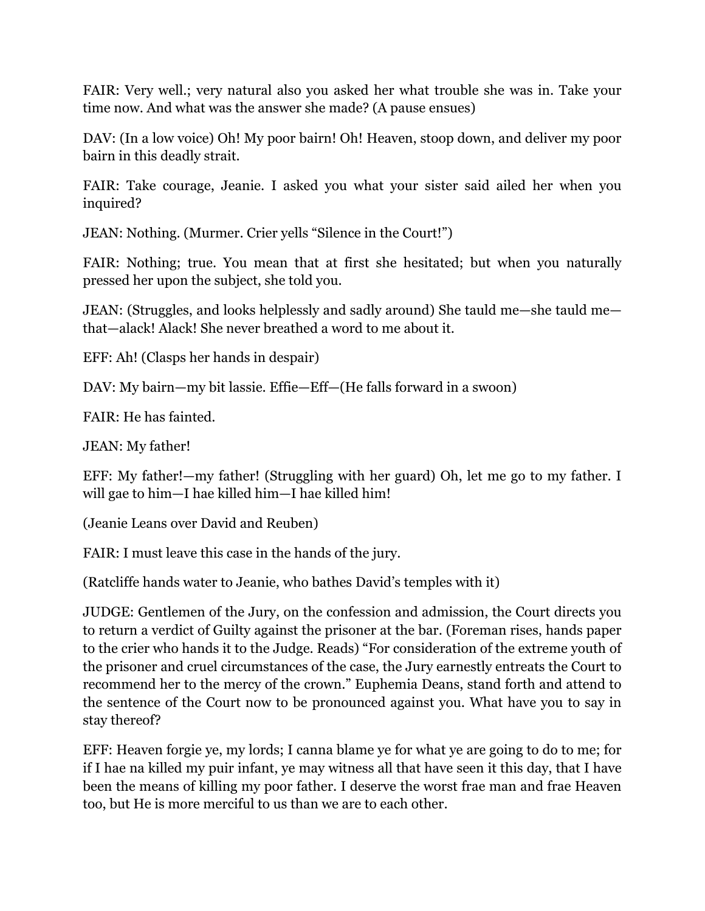FAIR: Very well.; very natural also you asked her what trouble she was in. Take your time now. And what was the answer she made? (A pause ensues)

DAV: (In a low voice) Oh! My poor bairn! Oh! Heaven, stoop down, and deliver my poor bairn in this deadly strait.

FAIR: Take courage, Jeanie. I asked you what your sister said ailed her when you inquired?

JEAN: Nothing. (Murmer. Crier yells "Silence in the Court!")

FAIR: Nothing; true. You mean that at first she hesitated; but when you naturally pressed her upon the subject, she told you.

JEAN: (Struggles, and looks helplessly and sadly around) She tauld me—she tauld me that—alack! Alack! She never breathed a word to me about it.

EFF: Ah! (Clasps her hands in despair)

DAV: My bairn—my bit lassie. Effie—Eff—(He falls forward in a swoon)

FAIR: He has fainted.

JEAN: My father!

EFF: My father!—my father! (Struggling with her guard) Oh, let me go to my father. I will gae to him—I hae killed him—I hae killed him!

(Jeanie Leans over David and Reuben)

FAIR: I must leave this case in the hands of the jury.

(Ratcliffe hands water to Jeanie, who bathes David's temples with it)

JUDGE: Gentlemen of the Jury, on the confession and admission, the Court directs you to return a verdict of Guilty against the prisoner at the bar. (Foreman rises, hands paper to the crier who hands it to the Judge. Reads) "For consideration of the extreme youth of the prisoner and cruel circumstances of the case, the Jury earnestly entreats the Court to recommend her to the mercy of the crown." Euphemia Deans, stand forth and attend to the sentence of the Court now to be pronounced against you. What have you to say in stay thereof?

EFF: Heaven forgie ye, my lords; I canna blame ye for what ye are going to do to me; for if I hae na killed my puir infant, ye may witness all that have seen it this day, that I have been the means of killing my poor father. I deserve the worst frae man and frae Heaven too, but He is more merciful to us than we are to each other.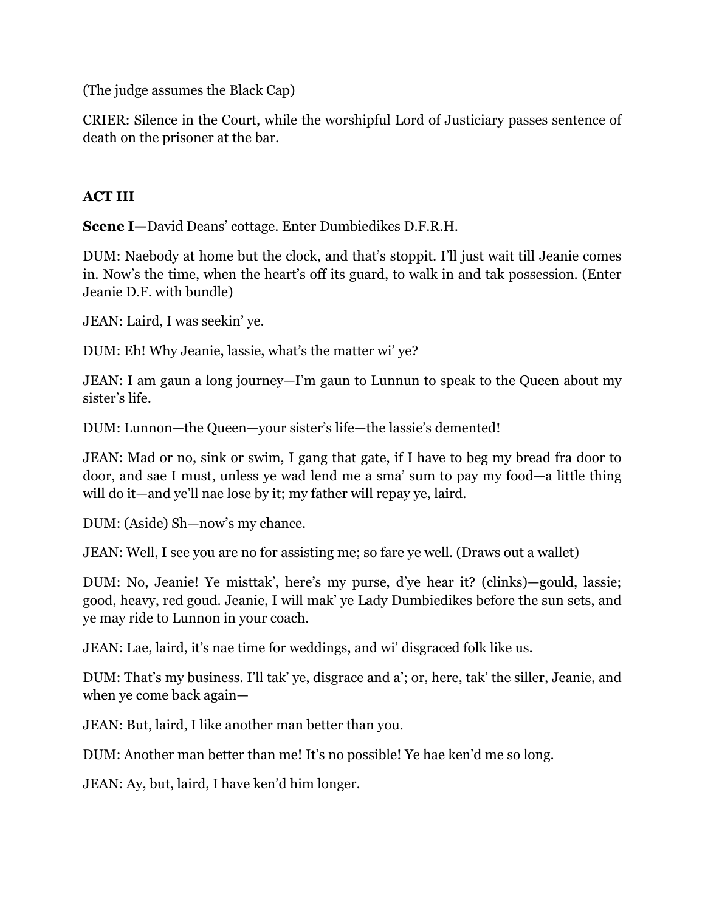(The judge assumes the Black Cap)

CRIER: Silence in the Court, while the worshipful Lord of Justiciary passes sentence of death on the prisoner at the bar.

### **ACT III**

**Scene I—**David Deans' cottage. Enter Dumbiedikes D.F.R.H.

DUM: Naebody at home but the clock, and that's stoppit. I'll just wait till Jeanie comes in. Now's the time, when the heart's off its guard, to walk in and tak possession. (Enter Jeanie D.F. with bundle)

JEAN: Laird, I was seekin' ye.

DUM: Eh! Why Jeanie, lassie, what's the matter wi' ye?

JEAN: I am gaun a long journey—I'm gaun to Lunnun to speak to the Queen about my sister's life.

DUM: Lunnon—the Queen—your sister's life—the lassie's demented!

JEAN: Mad or no, sink or swim, I gang that gate, if I have to beg my bread fra door to door, and sae I must, unless ye wad lend me a sma' sum to pay my food—a little thing will do it—and ye'll nae lose by it; my father will repay ye, laird.

DUM: (Aside) Sh—now's my chance.

JEAN: Well, I see you are no for assisting me; so fare ye well. (Draws out a wallet)

DUM: No, Jeanie! Ye misttak', here's my purse, d'ye hear it? (clinks)—gould, lassie; good, heavy, red goud. Jeanie, I will mak' ye Lady Dumbiedikes before the sun sets, and ye may ride to Lunnon in your coach.

JEAN: Lae, laird, it's nae time for weddings, and wi' disgraced folk like us.

DUM: That's my business. I'll tak' ye, disgrace and a'; or, here, tak' the siller, Jeanie, and when ye come back again—

JEAN: But, laird, I like another man better than you.

DUM: Another man better than me! It's no possible! Ye hae ken'd me so long.

JEAN: Ay, but, laird, I have ken'd him longer.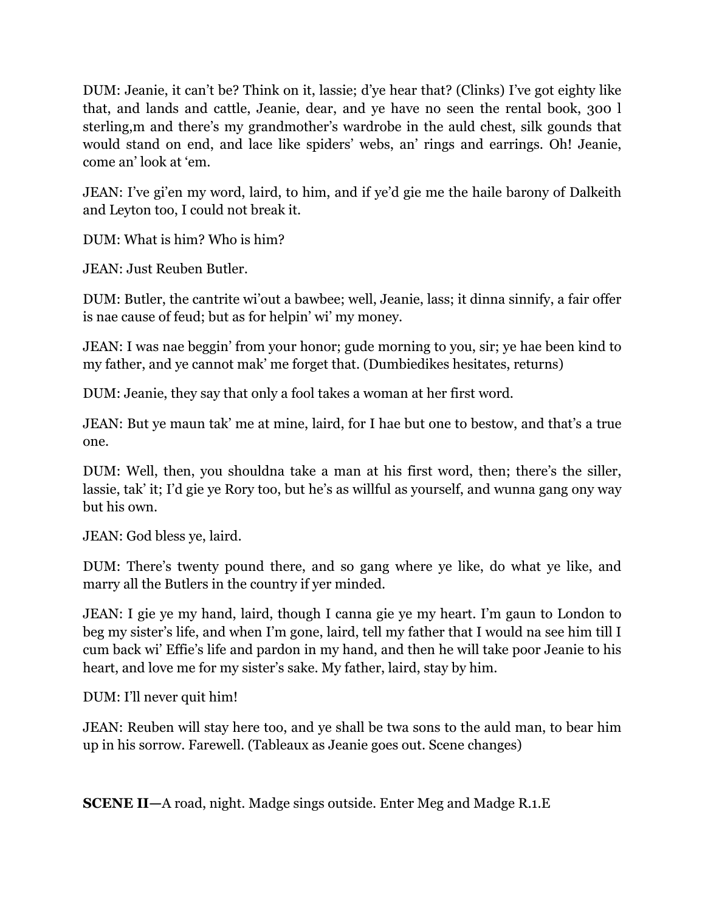DUM: Jeanie, it can't be? Think on it, lassie; d'ye hear that? (Clinks) I've got eighty like that, and lands and cattle, Jeanie, dear, and ye have no seen the rental book, 300 l sterling,m and there's my grandmother's wardrobe in the auld chest, silk gounds that would stand on end, and lace like spiders' webs, an' rings and earrings. Oh! Jeanie, come an' look at 'em.

JEAN: I've gi'en my word, laird, to him, and if ye'd gie me the haile barony of Dalkeith and Leyton too, I could not break it.

DUM: What is him? Who is him?

JEAN: Just Reuben Butler.

DUM: Butler, the cantrite wi'out a bawbee; well, Jeanie, lass; it dinna sinnify, a fair offer is nae cause of feud; but as for helpin' wi' my money.

JEAN: I was nae beggin' from your honor; gude morning to you, sir; ye hae been kind to my father, and ye cannot mak' me forget that. (Dumbiedikes hesitates, returns)

DUM: Jeanie, they say that only a fool takes a woman at her first word.

JEAN: But ye maun tak' me at mine, laird, for I hae but one to bestow, and that's a true one.

DUM: Well, then, you shouldna take a man at his first word, then; there's the siller, lassie, tak' it; I'd gie ye Rory too, but he's as willful as yourself, and wunna gang ony way but his own.

JEAN: God bless ye, laird.

DUM: There's twenty pound there, and so gang where ye like, do what ye like, and marry all the Butlers in the country if yer minded.

JEAN: I gie ye my hand, laird, though I canna gie ye my heart. I'm gaun to London to beg my sister's life, and when I'm gone, laird, tell my father that I would na see him till I cum back wi' Effie's life and pardon in my hand, and then he will take poor Jeanie to his heart, and love me for my sister's sake. My father, laird, stay by him.

DUM: I'll never quit him!

JEAN: Reuben will stay here too, and ye shall be twa sons to the auld man, to bear him up in his sorrow. Farewell. (Tableaux as Jeanie goes out. Scene changes)

**SCENE II—**A road, night. Madge sings outside. Enter Meg and Madge R.1.E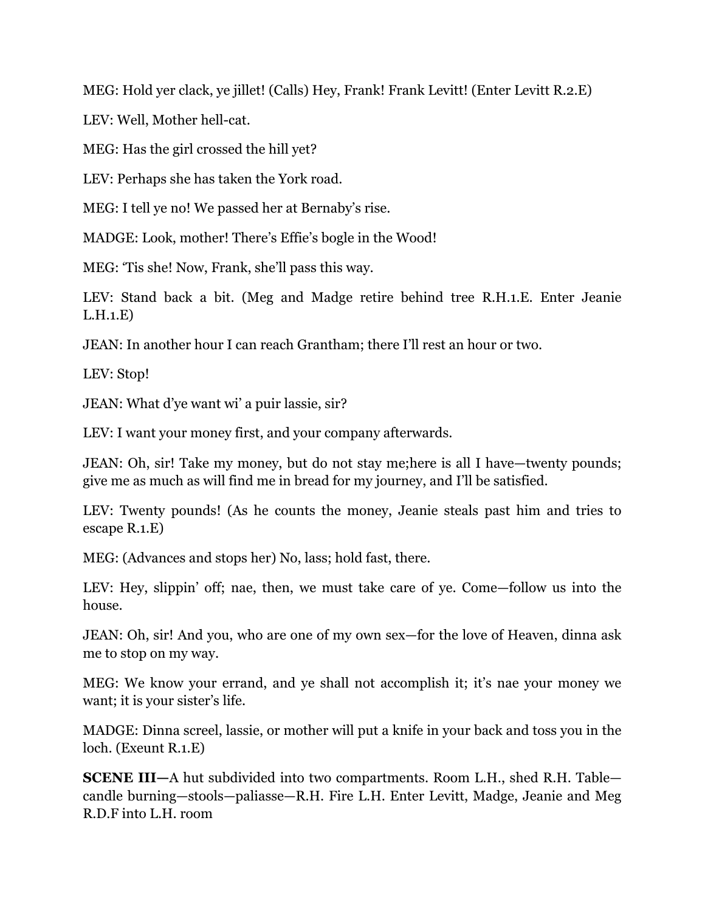MEG: Hold yer clack, ye jillet! (Calls) Hey, Frank! Frank Levitt! (Enter Levitt R.2.E)

LEV: Well, Mother hell-cat.

MEG: Has the girl crossed the hill yet?

LEV: Perhaps she has taken the York road.

MEG: I tell ye no! We passed her at Bernaby's rise.

MADGE: Look, mother! There's Effie's bogle in the Wood!

MEG: 'Tis she! Now, Frank, she'll pass this way.

LEV: Stand back a bit. (Meg and Madge retire behind tree R.H.1.E. Enter Jeanie L.H.1.E)

JEAN: In another hour I can reach Grantham; there I'll rest an hour or two.

LEV: Stop!

JEAN: What d'ye want wi' a puir lassie, sir?

LEV: I want your money first, and your company afterwards.

JEAN: Oh, sir! Take my money, but do not stay me;here is all I have—twenty pounds; give me as much as will find me in bread for my journey, and I'll be satisfied.

LEV: Twenty pounds! (As he counts the money, Jeanie steals past him and tries to escape R.1.E)

MEG: (Advances and stops her) No, lass; hold fast, there.

LEV: Hey, slippin' off; nae, then, we must take care of ye. Come—follow us into the house.

JEAN: Oh, sir! And you, who are one of my own sex—for the love of Heaven, dinna ask me to stop on my way.

MEG: We know your errand, and ye shall not accomplish it; it's nae your money we want; it is your sister's life.

MADGE: Dinna screel, lassie, or mother will put a knife in your back and toss you in the loch. (Exeunt R.1.E)

**SCENE III—**A hut subdivided into two compartments. Room L.H., shed R.H. Table candle burning—stools—paliasse—R.H. Fire L.H. Enter Levitt, Madge, Jeanie and Meg R.D.F into L.H. room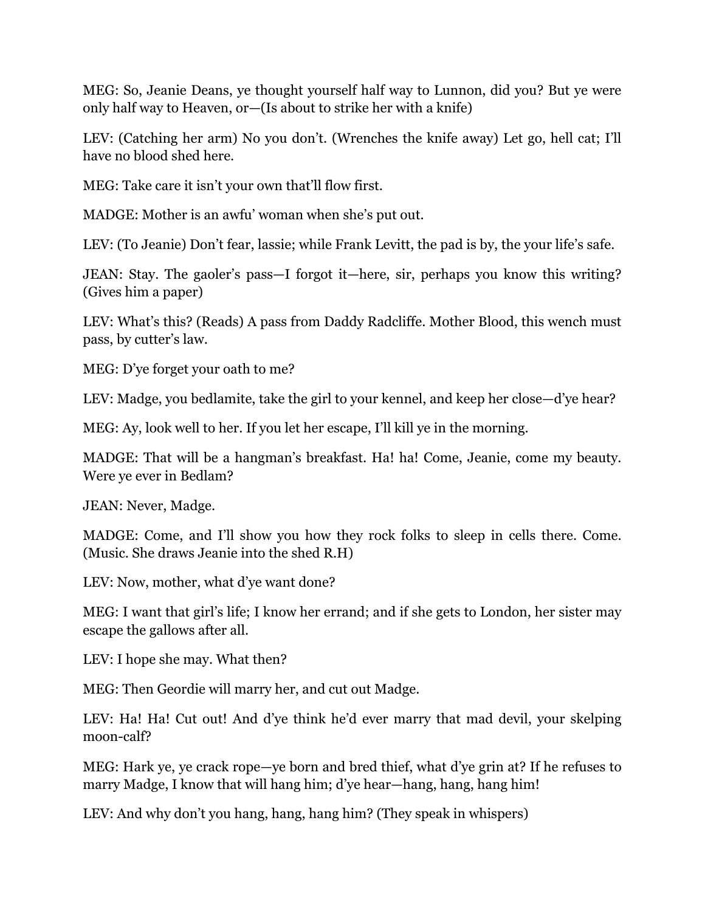MEG: So, Jeanie Deans, ye thought yourself half way to Lunnon, did you? But ye were only half way to Heaven, or—(Is about to strike her with a knife)

LEV: (Catching her arm) No you don't. (Wrenches the knife away) Let go, hell cat; I'll have no blood shed here.

MEG: Take care it isn't your own that'll flow first.

MADGE: Mother is an awfu' woman when she's put out.

LEV: (To Jeanie) Don't fear, lassie; while Frank Levitt, the pad is by, the your life's safe.

JEAN: Stay. The gaoler's pass—I forgot it—here, sir, perhaps you know this writing? (Gives him a paper)

LEV: What's this? (Reads) A pass from Daddy Radcliffe. Mother Blood, this wench must pass, by cutter's law.

MEG: D'ye forget your oath to me?

LEV: Madge, you bedlamite, take the girl to your kennel, and keep her close—d'ye hear?

MEG: Ay, look well to her. If you let her escape, I'll kill ye in the morning.

MADGE: That will be a hangman's breakfast. Ha! ha! Come, Jeanie, come my beauty. Were ye ever in Bedlam?

JEAN: Never, Madge.

MADGE: Come, and I'll show you how they rock folks to sleep in cells there. Come. (Music. She draws Jeanie into the shed R.H)

LEV: Now, mother, what d'ye want done?

MEG: I want that girl's life; I know her errand; and if she gets to London, her sister may escape the gallows after all.

LEV: I hope she may. What then?

MEG: Then Geordie will marry her, and cut out Madge.

LEV: Ha! Ha! Cut out! And d'ye think he'd ever marry that mad devil, your skelping moon-calf?

MEG: Hark ye, ye crack rope—ye born and bred thief, what d'ye grin at? If he refuses to marry Madge, I know that will hang him; d'ye hear—hang, hang, hang him!

LEV: And why don't you hang, hang, hang him? (They speak in whispers)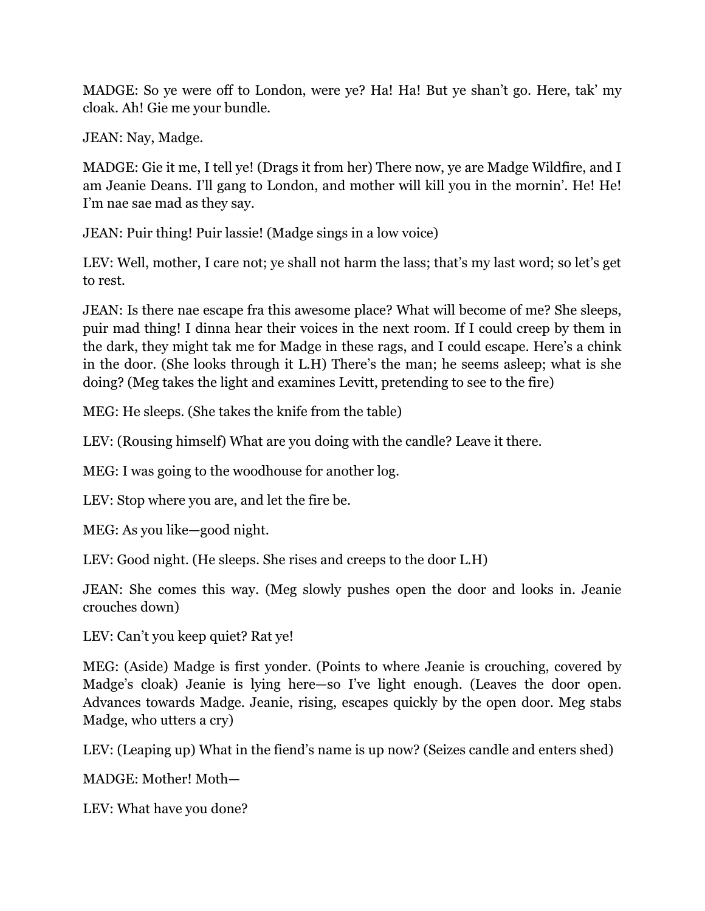MADGE: So ye were off to London, were ye? Ha! Ha! But ye shan't go. Here, tak' my cloak. Ah! Gie me your bundle.

JEAN: Nay, Madge.

MADGE: Gie it me, I tell ye! (Drags it from her) There now, ye are Madge Wildfire, and I am Jeanie Deans. I'll gang to London, and mother will kill you in the mornin'. He! He! I'm nae sae mad as they say.

JEAN: Puir thing! Puir lassie! (Madge sings in a low voice)

LEV: Well, mother, I care not; ye shall not harm the lass; that's my last word; so let's get to rest.

JEAN: Is there nae escape fra this awesome place? What will become of me? She sleeps, puir mad thing! I dinna hear their voices in the next room. If I could creep by them in the dark, they might tak me for Madge in these rags, and I could escape. Here's a chink in the door. (She looks through it L.H) There's the man; he seems asleep; what is she doing? (Meg takes the light and examines Levitt, pretending to see to the fire)

MEG: He sleeps. (She takes the knife from the table)

LEV: (Rousing himself) What are you doing with the candle? Leave it there.

MEG: I was going to the woodhouse for another log.

LEV: Stop where you are, and let the fire be.

MEG: As you like—good night.

LEV: Good night. (He sleeps. She rises and creeps to the door L.H)

JEAN: She comes this way. (Meg slowly pushes open the door and looks in. Jeanie crouches down)

LEV: Can't you keep quiet? Rat ye!

MEG: (Aside) Madge is first yonder. (Points to where Jeanie is crouching, covered by Madge's cloak) Jeanie is lying here—so I've light enough. (Leaves the door open. Advances towards Madge. Jeanie, rising, escapes quickly by the open door. Meg stabs Madge, who utters a cry)

LEV: (Leaping up) What in the fiend's name is up now? (Seizes candle and enters shed)

MADGE: Mother! Moth—

LEV: What have you done?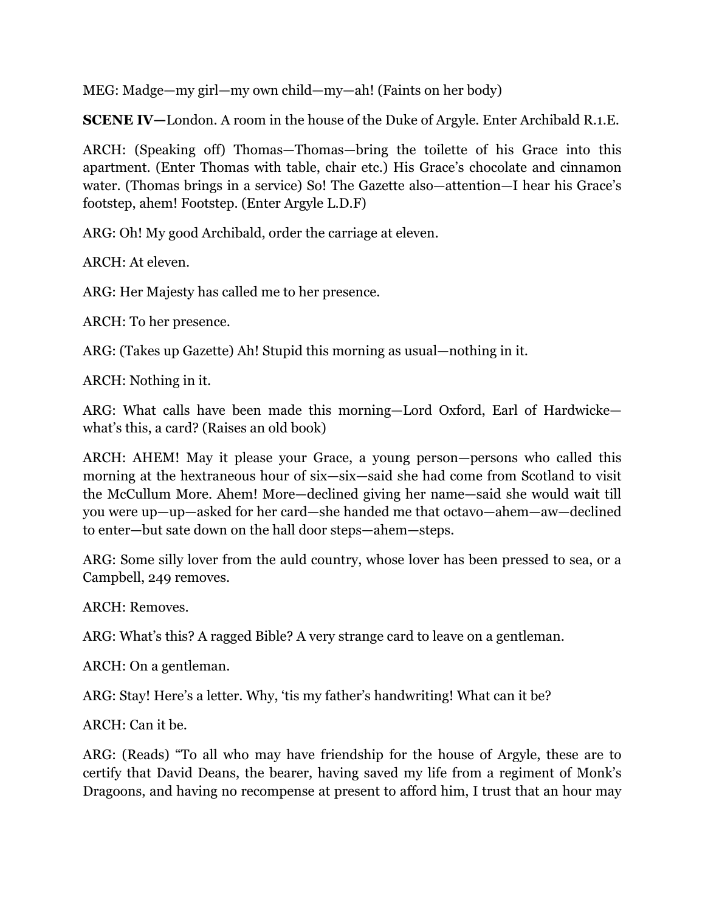MEG: Madge—my girl—my own child—my—ah! (Faints on her body)

**SCENE IV—**London. A room in the house of the Duke of Argyle. Enter Archibald R.1.E.

ARCH: (Speaking off) Thomas—Thomas—bring the toilette of his Grace into this apartment. (Enter Thomas with table, chair etc.) His Grace's chocolate and cinnamon water. (Thomas brings in a service) So! The Gazette also—attention—I hear his Grace's footstep, ahem! Footstep. (Enter Argyle L.D.F)

ARG: Oh! My good Archibald, order the carriage at eleven.

ARCH: At eleven.

ARG: Her Majesty has called me to her presence.

ARCH: To her presence.

ARG: (Takes up Gazette) Ah! Stupid this morning as usual—nothing in it.

ARCH: Nothing in it.

ARG: What calls have been made this morning—Lord Oxford, Earl of Hardwicke what's this, a card? (Raises an old book)

ARCH: AHEM! May it please your Grace, a young person—persons who called this morning at the hextraneous hour of six—six—said she had come from Scotland to visit the McCullum More. Ahem! More—declined giving her name—said she would wait till you were up—up—asked for her card—she handed me that octavo—ahem—aw—declined to enter—but sate down on the hall door steps—ahem—steps.

ARG: Some silly lover from the auld country, whose lover has been pressed to sea, or a Campbell, 249 removes.

ARCH: Removes.

ARG: What's this? A ragged Bible? A very strange card to leave on a gentleman.

ARCH: On a gentleman.

ARG: Stay! Here's a letter. Why, 'tis my father's handwriting! What can it be?

ARCH: Can it be.

ARG: (Reads) "To all who may have friendship for the house of Argyle, these are to certify that David Deans, the bearer, having saved my life from a regiment of Monk's Dragoons, and having no recompense at present to afford him, I trust that an hour may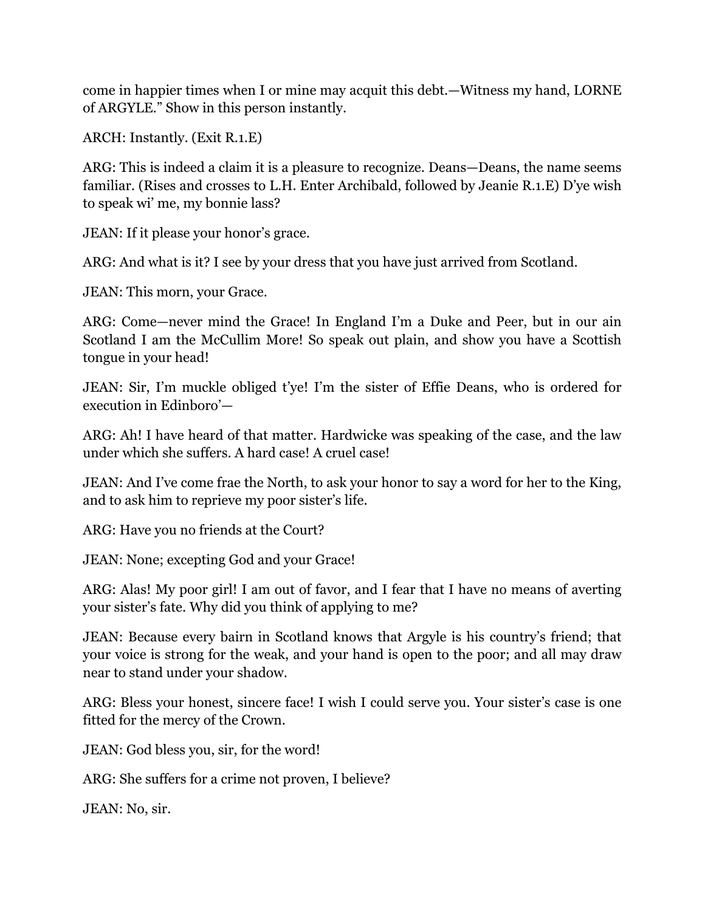come in happier times when I or mine may acquit this debt.—Witness my hand, LORNE of ARGYLE." Show in this person instantly.

ARCH: Instantly. (Exit R.1.E)

ARG: This is indeed a claim it is a pleasure to recognize. Deans—Deans, the name seems familiar. (Rises and crosses to L.H. Enter Archibald, followed by Jeanie R.1.E) D'ye wish to speak wi' me, my bonnie lass?

JEAN: If it please your honor's grace.

ARG: And what is it? I see by your dress that you have just arrived from Scotland.

JEAN: This morn, your Grace.

ARG: Come—never mind the Grace! In England I'm a Duke and Peer, but in our ain Scotland I am the McCullim More! So speak out plain, and show you have a Scottish tongue in your head!

JEAN: Sir, I'm muckle obliged t'ye! I'm the sister of Effie Deans, who is ordered for execution in Edinboro'—

ARG: Ah! I have heard of that matter. Hardwicke was speaking of the case, and the law under which she suffers. A hard case! A cruel case!

JEAN: And I've come frae the North, to ask your honor to say a word for her to the King, and to ask him to reprieve my poor sister's life.

ARG: Have you no friends at the Court?

JEAN: None; excepting God and your Grace!

ARG: Alas! My poor girl! I am out of favor, and I fear that I have no means of averting your sister's fate. Why did you think of applying to me?

JEAN: Because every bairn in Scotland knows that Argyle is his country's friend; that your voice is strong for the weak, and your hand is open to the poor; and all may draw near to stand under your shadow.

ARG: Bless your honest, sincere face! I wish I could serve you. Your sister's case is one fitted for the mercy of the Crown.

JEAN: God bless you, sir, for the word!

ARG: She suffers for a crime not proven, I believe?

JEAN: No, sir.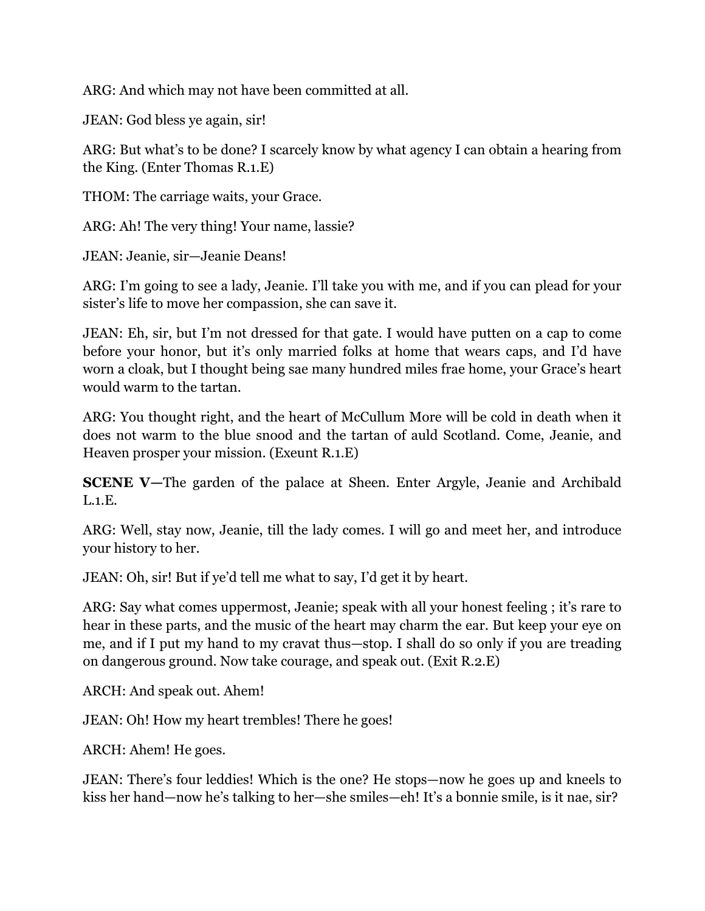ARG: And which may not have been committed at all.

JEAN: God bless ye again, sir!

ARG: But what's to be done? I scarcely know by what agency I can obtain a hearing from the King. (Enter Thomas R.1.E)

THOM: The carriage waits, your Grace.

ARG: Ah! The very thing! Your name, lassie?

JEAN: Jeanie, sir—Jeanie Deans!

ARG: I'm going to see a lady, Jeanie. I'll take you with me, and if you can plead for your sister's life to move her compassion, she can save it.

JEAN: Eh, sir, but I'm not dressed for that gate. I would have putten on a cap to come before your honor, but it's only married folks at home that wears caps, and I'd have worn a cloak, but I thought being sae many hundred miles frae home, your Grace's heart would warm to the tartan.

ARG: You thought right, and the heart of McCullum More will be cold in death when it does not warm to the blue snood and the tartan of auld Scotland. Come, Jeanie, and Heaven prosper your mission. (Exeunt R.1.E)

**SCENE V—The garden of the palace at Sheen. Enter Argyle, Jeanie and Archibald** L.1.E.

ARG: Well, stay now, Jeanie, till the lady comes. I will go and meet her, and introduce your history to her.

JEAN: Oh, sir! But if ye'd tell me what to say, I'd get it by heart.

ARG: Say what comes uppermost, Jeanie; speak with all your honest feeling ; it's rare to hear in these parts, and the music of the heart may charm the ear. But keep your eye on me, and if I put my hand to my cravat thus—stop. I shall do so only if you are treading on dangerous ground. Now take courage, and speak out. (Exit R.2.E)

ARCH: And speak out. Ahem!

JEAN: Oh! How my heart trembles! There he goes!

ARCH: Ahem! He goes.

JEAN: There's four leddies! Which is the one? He stops—now he goes up and kneels to kiss her hand—now he's talking to her—she smiles—eh! It's a bonnie smile, is it nae, sir?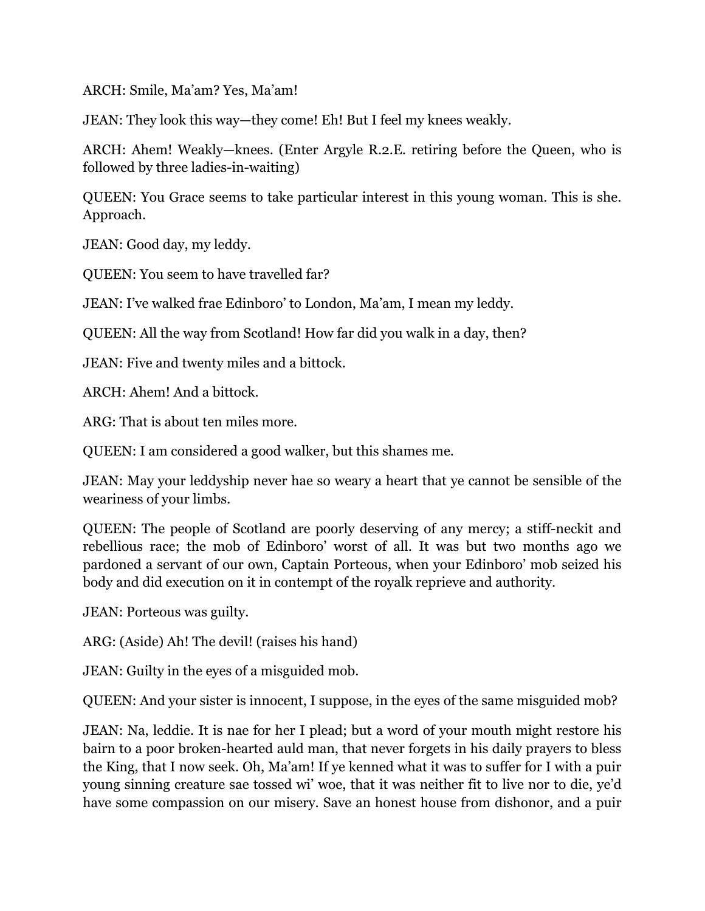ARCH: Smile, Ma'am? Yes, Ma'am!

JEAN: They look this way—they come! Eh! But I feel my knees weakly.

ARCH: Ahem! Weakly—knees. (Enter Argyle R.2.E. retiring before the Queen, who is followed by three ladies-in-waiting)

QUEEN: You Grace seems to take particular interest in this young woman. This is she. Approach.

JEAN: Good day, my leddy.

QUEEN: You seem to have travelled far?

JEAN: I've walked frae Edinboro' to London, Ma'am, I mean my leddy.

QUEEN: All the way from Scotland! How far did you walk in a day, then?

JEAN: Five and twenty miles and a bittock.

ARCH: Ahem! And a bittock.

ARG: That is about ten miles more.

QUEEN: I am considered a good walker, but this shames me.

JEAN: May your leddyship never hae so weary a heart that ye cannot be sensible of the weariness of your limbs.

QUEEN: The people of Scotland are poorly deserving of any mercy; a stiff-neckit and rebellious race; the mob of Edinboro' worst of all. It was but two months ago we pardoned a servant of our own, Captain Porteous, when your Edinboro' mob seized his body and did execution on it in contempt of the royalk reprieve and authority.

JEAN: Porteous was guilty.

ARG: (Aside) Ah! The devil! (raises his hand)

JEAN: Guilty in the eyes of a misguided mob.

QUEEN: And your sister is innocent, I suppose, in the eyes of the same misguided mob?

JEAN: Na, leddie. It is nae for her I plead; but a word of your mouth might restore his bairn to a poor broken-hearted auld man, that never forgets in his daily prayers to bless the King, that I now seek. Oh, Ma'am! If ye kenned what it was to suffer for I with a puir young sinning creature sae tossed wi' woe, that it was neither fit to live nor to die, ye'd have some compassion on our misery. Save an honest house from dishonor, and a puir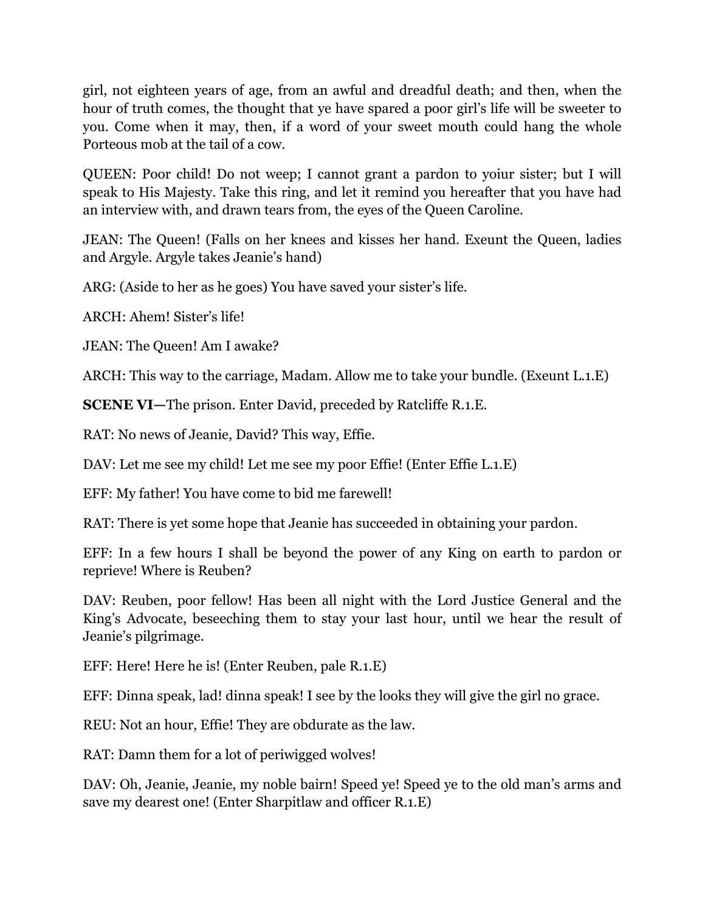girl, not eighteen years of age, from an awful and dreadful death; and then, when the hour of truth comes, the thought that ye have spared a poor girl's life will be sweeter to you. Come when it may, then, if a word of your sweet mouth could hang the whole Porteous mob at the tail of a cow.

QUEEN: Poor child! Do not weep; I cannot grant a pardon to yoiur sister; but I will speak to His Majesty. Take this ring, and let it remind you hereafter that you have had an interview with, and drawn tears from, the eyes of the Queen Caroline.

JEAN: The Queen! (Falls on her knees and kisses her hand. Exeunt the Queen, ladies and Argyle. Argyle takes Jeanie's hand)

ARG: (Aside to her as he goes) You have saved your sister's life.

ARCH: Ahem! Sister's life!

JEAN: The Queen! Am I awake?

ARCH: This way to the carriage, Madam. Allow me to take your bundle. (Exeunt L.1.E)

**SCENE VI—**The prison. Enter David, preceded by Ratcliffe R.1.E.

RAT: No news of Jeanie, David? This way, Effie.

DAV: Let me see my child! Let me see my poor Effie! (Enter Effie L.1.E)

EFF: My father! You have come to bid me farewell!

RAT: There is yet some hope that Jeanie has succeeded in obtaining your pardon.

EFF: In a few hours I shall be beyond the power of any King on earth to pardon or reprieve! Where is Reuben?

DAV: Reuben, poor fellow! Has been all night with the Lord Justice General and the King's Advocate, beseeching them to stay your last hour, until we hear the result of Jeanie's pilgrimage.

EFF: Here! Here he is! (Enter Reuben, pale R.1.E)

EFF: Dinna speak, lad! dinna speak! I see by the looks they will give the girl no grace.

REU: Not an hour, Effie! They are obdurate as the law.

RAT: Damn them for a lot of periwigged wolves!

DAV: Oh, Jeanie, Jeanie, my noble bairn! Speed ye! Speed ye to the old man's arms and save my dearest one! (Enter Sharpitlaw and officer R.1.E)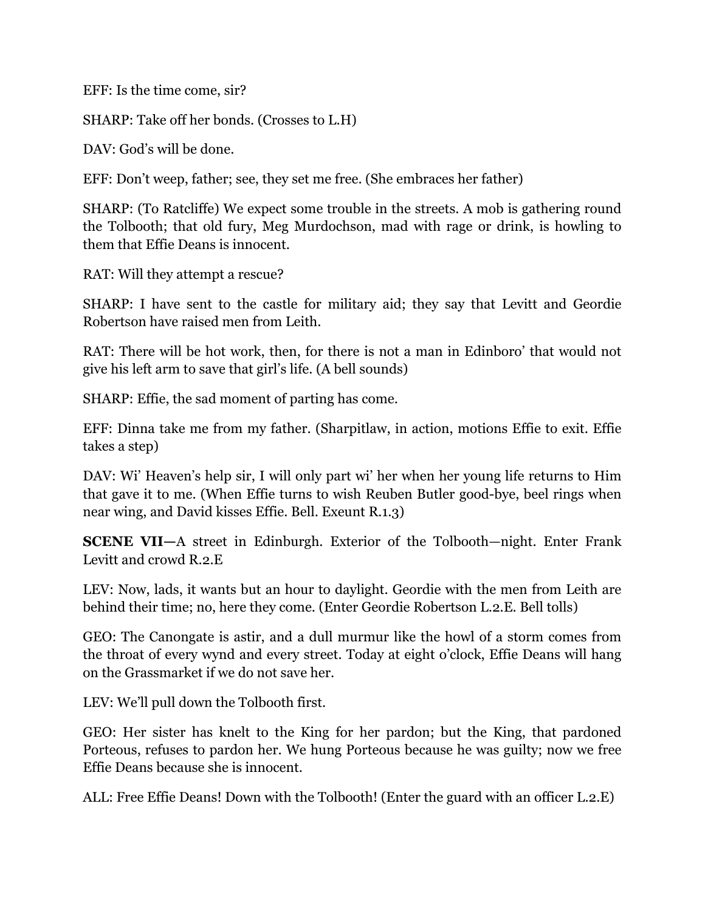EFF: Is the time come, sir?

SHARP: Take off her bonds. (Crosses to L.H)

DAV: God's will be done.

EFF: Don't weep, father; see, they set me free. (She embraces her father)

SHARP: (To Ratcliffe) We expect some trouble in the streets. A mob is gathering round the Tolbooth; that old fury, Meg Murdochson, mad with rage or drink, is howling to them that Effie Deans is innocent.

RAT: Will they attempt a rescue?

SHARP: I have sent to the castle for military aid; they say that Levitt and Geordie Robertson have raised men from Leith.

RAT: There will be hot work, then, for there is not a man in Edinboro' that would not give his left arm to save that girl's life. (A bell sounds)

SHARP: Effie, the sad moment of parting has come.

EFF: Dinna take me from my father. (Sharpitlaw, in action, motions Effie to exit. Effie takes a step)

DAV: Wi' Heaven's help sir, I will only part wi' her when her young life returns to Him that gave it to me. (When Effie turns to wish Reuben Butler good-bye, beel rings when near wing, and David kisses Effie. Bell. Exeunt R.1.3)

**SCENE VII—**A street in Edinburgh. Exterior of the Tolbooth—night. Enter Frank Levitt and crowd R.2.E

LEV: Now, lads, it wants but an hour to daylight. Geordie with the men from Leith are behind their time; no, here they come. (Enter Geordie Robertson L.2.E. Bell tolls)

GEO: The Canongate is astir, and a dull murmur like the howl of a storm comes from the throat of every wynd and every street. Today at eight o'clock, Effie Deans will hang on the Grassmarket if we do not save her.

LEV: We'll pull down the Tolbooth first.

GEO: Her sister has knelt to the King for her pardon; but the King, that pardoned Porteous, refuses to pardon her. We hung Porteous because he was guilty; now we free Effie Deans because she is innocent.

ALL: Free Effie Deans! Down with the Tolbooth! (Enter the guard with an officer L.2.E)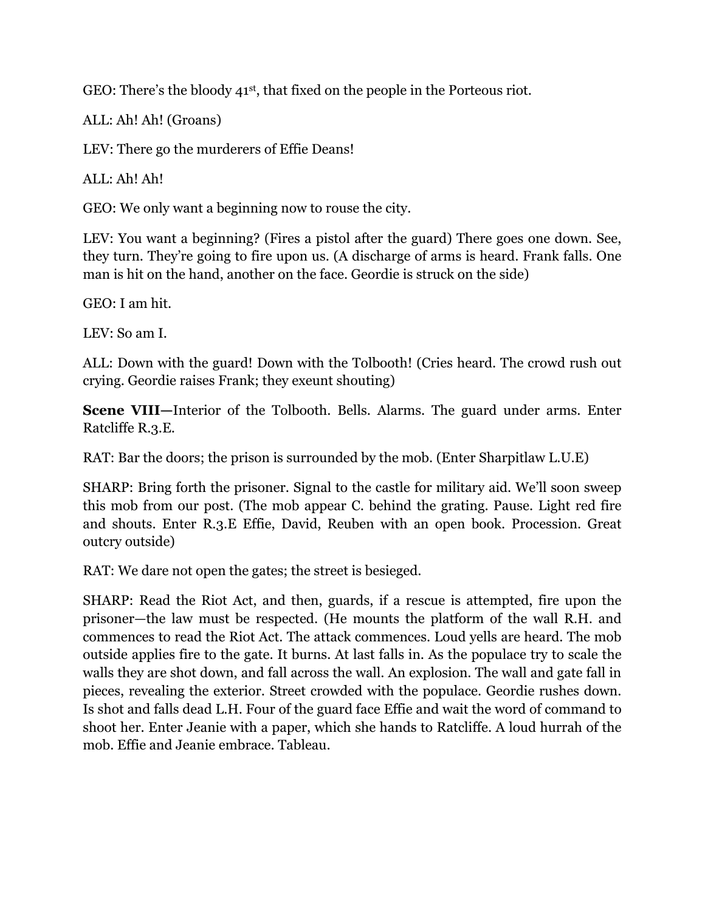GEO: There's the bloody 41<sup>st</sup>, that fixed on the people in the Porteous riot.

ALL: Ah! Ah! (Groans)

LEV: There go the murderers of Effie Deans!

 $ALL: Ah! Ah!$ 

GEO: We only want a beginning now to rouse the city.

LEV: You want a beginning? (Fires a pistol after the guard) There goes one down. See, they turn. They're going to fire upon us. (A discharge of arms is heard. Frank falls. One man is hit on the hand, another on the face. Geordie is struck on the side)

GEO: I am hit.

LEV: So am I.

ALL: Down with the guard! Down with the Tolbooth! (Cries heard. The crowd rush out crying. Geordie raises Frank; they exeunt shouting)

**Scene VIII—**Interior of the Tolbooth. Bells. Alarms. The guard under arms. Enter Ratcliffe R.3.E.

RAT: Bar the doors; the prison is surrounded by the mob. (Enter Sharpitlaw L.U.E)

SHARP: Bring forth the prisoner. Signal to the castle for military aid. We'll soon sweep this mob from our post. (The mob appear C. behind the grating. Pause. Light red fire and shouts. Enter R.3.E Effie, David, Reuben with an open book. Procession. Great outcry outside)

RAT: We dare not open the gates; the street is besieged.

SHARP: Read the Riot Act, and then, guards, if a rescue is attempted, fire upon the prisoner—the law must be respected. (He mounts the platform of the wall R.H. and commences to read the Riot Act. The attack commences. Loud yells are heard. The mob outside applies fire to the gate. It burns. At last falls in. As the populace try to scale the walls they are shot down, and fall across the wall. An explosion. The wall and gate fall in pieces, revealing the exterior. Street crowded with the populace. Geordie rushes down. Is shot and falls dead L.H. Four of the guard face Effie and wait the word of command to shoot her. Enter Jeanie with a paper, which she hands to Ratcliffe. A loud hurrah of the mob. Effie and Jeanie embrace. Tableau.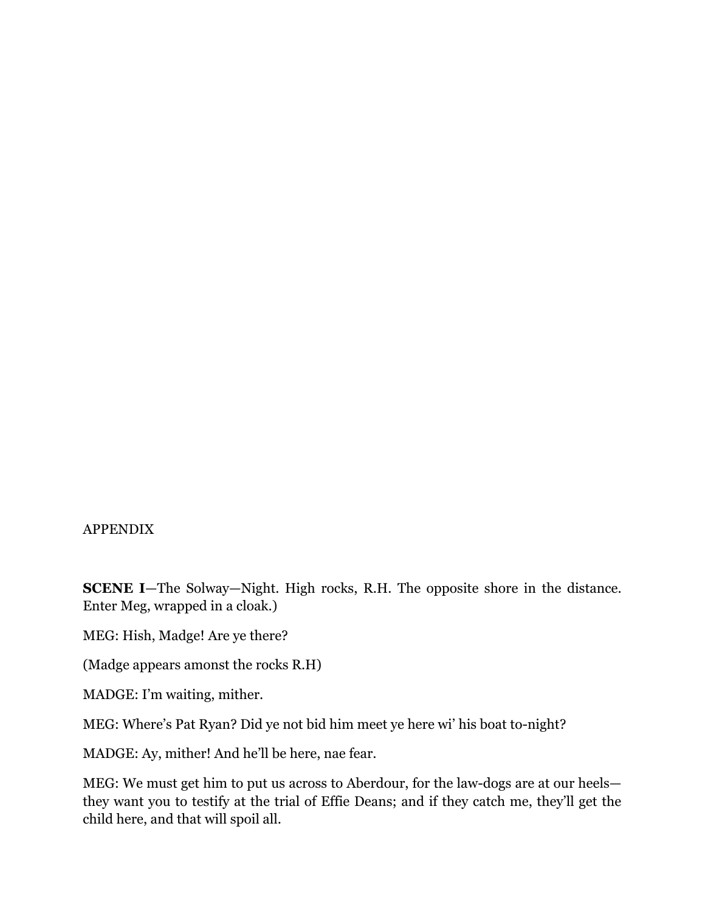#### APPENDIX

**SCENE I**—The Solway—Night. High rocks, R.H. The opposite shore in the distance. Enter Meg, wrapped in a cloak.)

MEG: Hish, Madge! Are ye there?

(Madge appears amonst the rocks R.H)

MADGE: I'm waiting, mither.

MEG: Where's Pat Ryan? Did ye not bid him meet ye here wi' his boat to-night?

MADGE: Ay, mither! And he'll be here, nae fear.

MEG: We must get him to put us across to Aberdour, for the law-dogs are at our heels they want you to testify at the trial of Effie Deans; and if they catch me, they'll get the child here, and that will spoil all.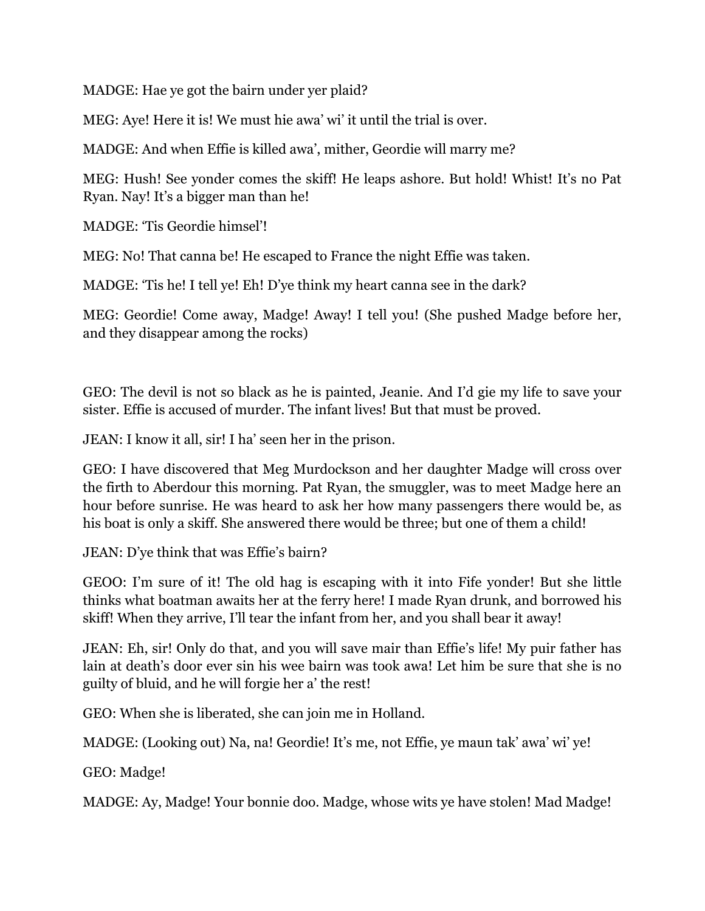MADGE: Hae ye got the bairn under yer plaid?

MEG: Aye! Here it is! We must hie awa' wi' it until the trial is over.

MADGE: And when Effie is killed awa', mither, Geordie will marry me?

MEG: Hush! See yonder comes the skiff! He leaps ashore. But hold! Whist! It's no Pat Ryan. Nay! It's a bigger man than he!

MADGE: 'Tis Geordie himsel'!

MEG: No! That canna be! He escaped to France the night Effie was taken.

MADGE: 'Tis he! I tell ye! Eh! D'ye think my heart canna see in the dark?

MEG: Geordie! Come away, Madge! Away! I tell you! (She pushed Madge before her, and they disappear among the rocks)

GEO: The devil is not so black as he is painted, Jeanie. And I'd gie my life to save your sister. Effie is accused of murder. The infant lives! But that must be proved.

JEAN: I know it all, sir! I ha' seen her in the prison.

GEO: I have discovered that Meg Murdockson and her daughter Madge will cross over the firth to Aberdour this morning. Pat Ryan, the smuggler, was to meet Madge here an hour before sunrise. He was heard to ask her how many passengers there would be, as his boat is only a skiff. She answered there would be three; but one of them a child!

JEAN: D'ye think that was Effie's bairn?

GEOO: I'm sure of it! The old hag is escaping with it into Fife yonder! But she little thinks what boatman awaits her at the ferry here! I made Ryan drunk, and borrowed his skiff! When they arrive, I'll tear the infant from her, and you shall bear it away!

JEAN: Eh, sir! Only do that, and you will save mair than Effie's life! My puir father has lain at death's door ever sin his wee bairn was took awa! Let him be sure that she is no guilty of bluid, and he will forgie her a' the rest!

GEO: When she is liberated, she can join me in Holland.

MADGE: (Looking out) Na, na! Geordie! It's me, not Effie, ye maun tak' awa' wi' ye!

GEO: Madge!

MADGE: Ay, Madge! Your bonnie doo. Madge, whose wits ye have stolen! Mad Madge!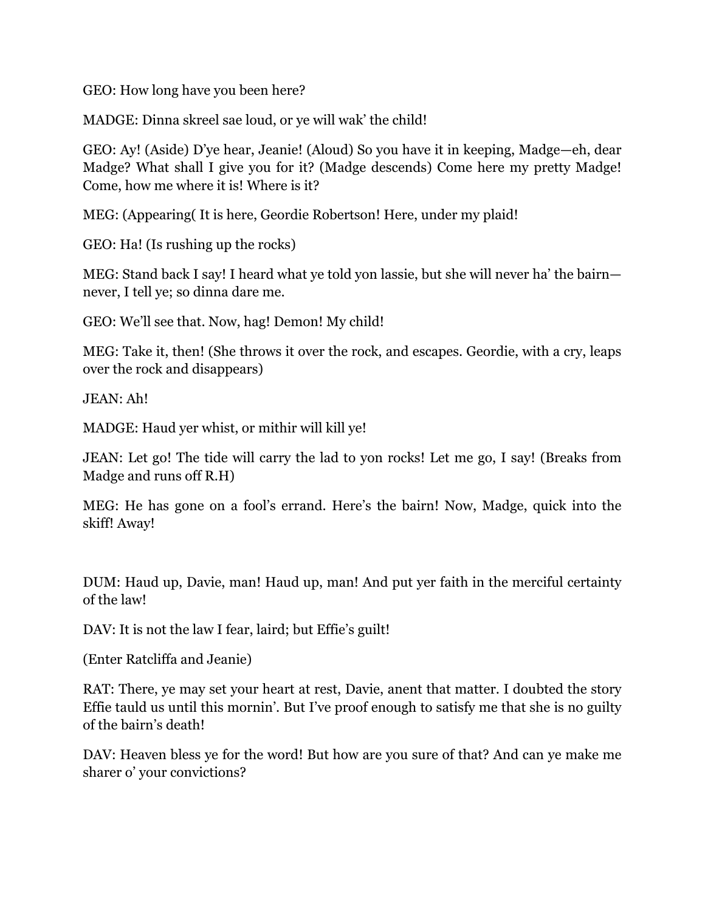GEO: How long have you been here?

MADGE: Dinna skreel sae loud, or ye will wak' the child!

GEO: Ay! (Aside) D'ye hear, Jeanie! (Aloud) So you have it in keeping, Madge—eh, dear Madge? What shall I give you for it? (Madge descends) Come here my pretty Madge! Come, how me where it is! Where is it?

MEG: (Appearing( It is here, Geordie Robertson! Here, under my plaid!

GEO: Ha! (Is rushing up the rocks)

MEG: Stand back I say! I heard what ye told yon lassie, but she will never ha' the bairn never, I tell ye; so dinna dare me.

GEO: We'll see that. Now, hag! Demon! My child!

MEG: Take it, then! (She throws it over the rock, and escapes. Geordie, with a cry, leaps over the rock and disappears)

JEAN: Ah!

MADGE: Haud yer whist, or mithir will kill ye!

JEAN: Let go! The tide will carry the lad to yon rocks! Let me go, I say! (Breaks from Madge and runs off R.H)

MEG: He has gone on a fool's errand. Here's the bairn! Now, Madge, quick into the skiff! Away!

DUM: Haud up, Davie, man! Haud up, man! And put yer faith in the merciful certainty of the law!

DAV: It is not the law I fear, laird; but Effie's guilt!

(Enter Ratcliffa and Jeanie)

RAT: There, ye may set your heart at rest, Davie, anent that matter. I doubted the story Effie tauld us until this mornin'. But I've proof enough to satisfy me that she is no guilty of the bairn's death!

DAV: Heaven bless ye for the word! But how are you sure of that? And can ye make me sharer o' your convictions?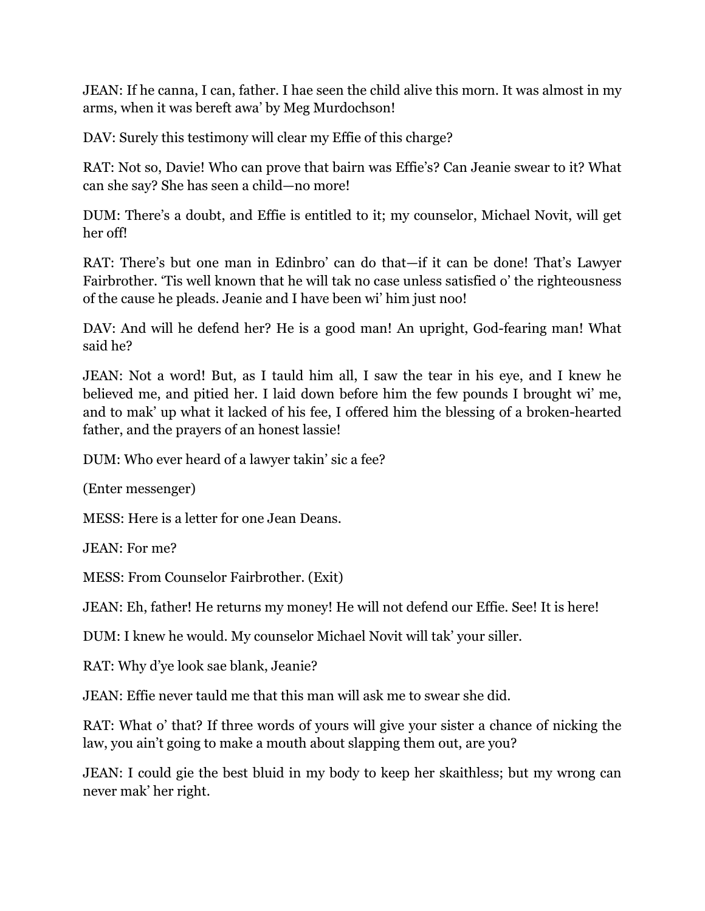JEAN: If he canna, I can, father. I hae seen the child alive this morn. It was almost in my arms, when it was bereft awa' by Meg Murdochson!

DAV: Surely this testimony will clear my Effie of this charge?

RAT: Not so, Davie! Who can prove that bairn was Effie's? Can Jeanie swear to it? What can she say? She has seen a child—no more!

DUM: There's a doubt, and Effie is entitled to it; my counselor, Michael Novit, will get her off!

RAT: There's but one man in Edinbro' can do that—if it can be done! That's Lawyer Fairbrother. 'Tis well known that he will tak no case unless satisfied o' the righteousness of the cause he pleads. Jeanie and I have been wi' him just noo!

DAV: And will he defend her? He is a good man! An upright, God-fearing man! What said he?

JEAN: Not a word! But, as I tauld him all, I saw the tear in his eye, and I knew he believed me, and pitied her. I laid down before him the few pounds I brought wi' me, and to mak' up what it lacked of his fee, I offered him the blessing of a broken-hearted father, and the prayers of an honest lassie!

DUM: Who ever heard of a lawyer takin' sic a fee?

(Enter messenger)

MESS: Here is a letter for one Jean Deans.

JEAN: For me?

MESS: From Counselor Fairbrother. (Exit)

JEAN: Eh, father! He returns my money! He will not defend our Effie. See! It is here!

DUM: I knew he would. My counselor Michael Novit will tak' your siller.

RAT: Why d'ye look sae blank, Jeanie?

JEAN: Effie never tauld me that this man will ask me to swear she did.

RAT: What o' that? If three words of yours will give your sister a chance of nicking the law, you ain't going to make a mouth about slapping them out, are you?

JEAN: I could gie the best bluid in my body to keep her skaithless; but my wrong can never mak' her right.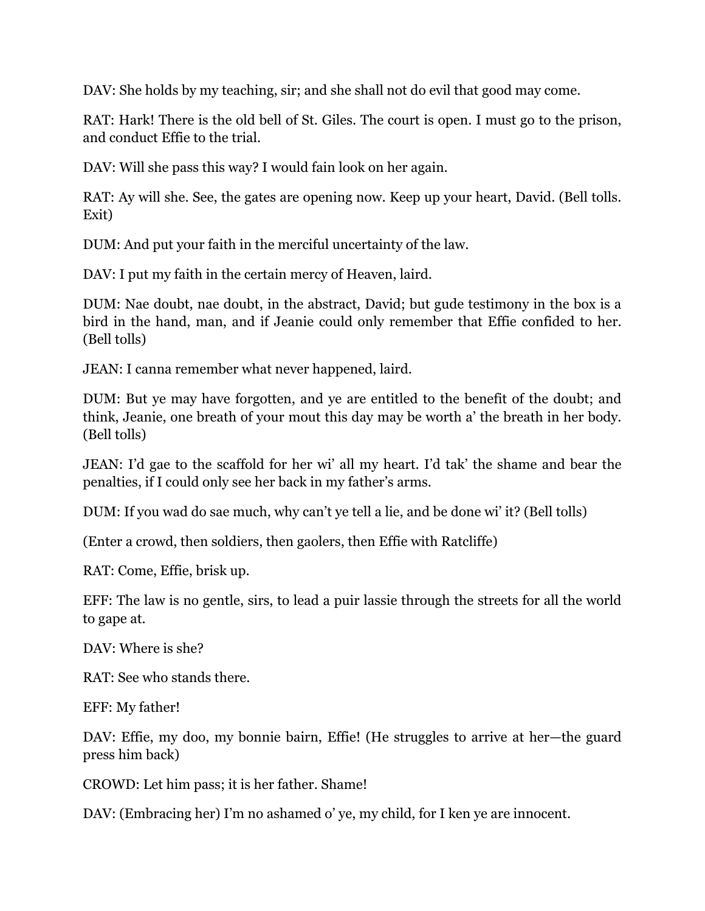DAV: She holds by my teaching, sir; and she shall not do evil that good may come.

RAT: Hark! There is the old bell of St. Giles. The court is open. I must go to the prison, and conduct Effie to the trial.

DAV: Will she pass this way? I would fain look on her again.

RAT: Ay will she. See, the gates are opening now. Keep up your heart, David. (Bell tolls. Exit)

DUM: And put your faith in the merciful uncertainty of the law.

DAV: I put my faith in the certain mercy of Heaven, laird.

DUM: Nae doubt, nae doubt, in the abstract, David; but gude testimony in the box is a bird in the hand, man, and if Jeanie could only remember that Effie confided to her. (Bell tolls)

JEAN: I canna remember what never happened, laird.

DUM: But ye may have forgotten, and ye are entitled to the benefit of the doubt; and think, Jeanie, one breath of your mout this day may be worth a' the breath in her body. (Bell tolls)

JEAN: I'd gae to the scaffold for her wi' all my heart. I'd tak' the shame and bear the penalties, if I could only see her back in my father's arms.

DUM: If you wad do sae much, why can't ye tell a lie, and be done wi' it? (Bell tolls)

(Enter a crowd, then soldiers, then gaolers, then Effie with Ratcliffe)

RAT: Come, Effie, brisk up.

EFF: The law is no gentle, sirs, to lead a puir lassie through the streets for all the world to gape at.

DAV: Where is she?

RAT: See who stands there.

EFF: My father!

DAV: Effie, my doo, my bonnie bairn, Effie! (He struggles to arrive at her—the guard press him back)

CROWD: Let him pass; it is her father. Shame!

DAV: (Embracing her) I'm no ashamed o' ye, my child, for I ken ye are innocent.